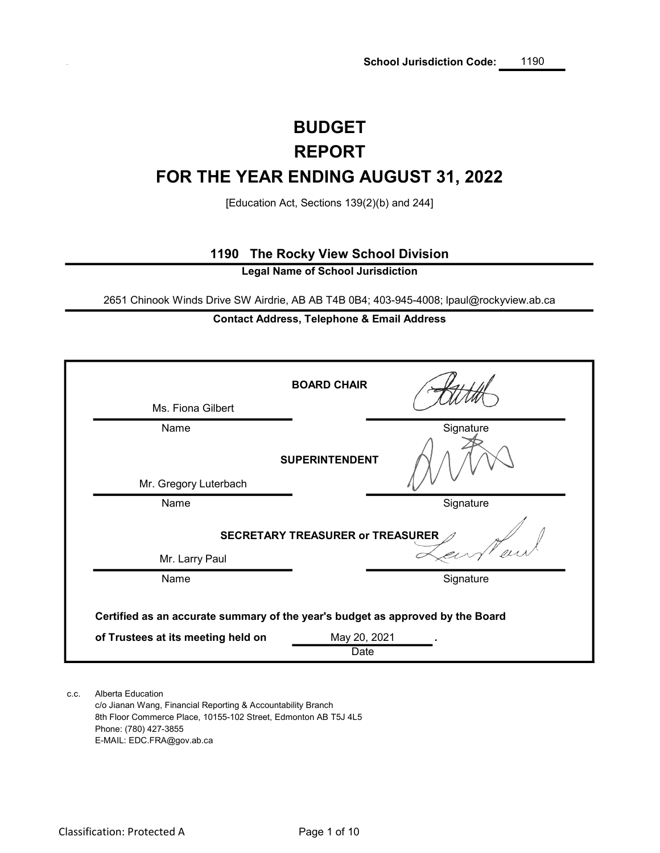# REPORT BUDGET FOR THE YEAR ENDING AUGUST 31, 2022

[Education Act, Sections 139(2)(b) and 244]

# 1190 The Rocky View School Division

Legal Name of School Jurisdiction

2651 Chinook Winds Drive SW Airdrie, AB AB T4B 0B4; 403-945-4008; lpaul@rockyview.ab.ca

# Contact Address, Telephone & Email Address

| Ms. Fiona Gilbert                                                              | <b>BOARD CHAIR</b>                      |           |
|--------------------------------------------------------------------------------|-----------------------------------------|-----------|
| Name                                                                           | <b>SUPERINTENDENT</b>                   | Signature |
| Mr. Gregory Luterbach<br>Name                                                  |                                         | Signature |
|                                                                                | <b>SECRETARY TREASURER or TREASURER</b> |           |
| Mr. Larry Paul<br>Name                                                         |                                         | Signature |
| Certified as an accurate summary of the year's budget as approved by the Board |                                         |           |
| of Trustees at its meeting held on                                             | May 20, 2021<br>Date                    |           |

c.c. Alberta Education c/o Jianan Wang, Financial Reporting & Accountability Branch 8th Floor Commerce Place, 10155-102 Street, Edmonton AB T5J 4L5 Phone: (780) 427-3855 E-MAIL: EDC.FRA@gov.ab.ca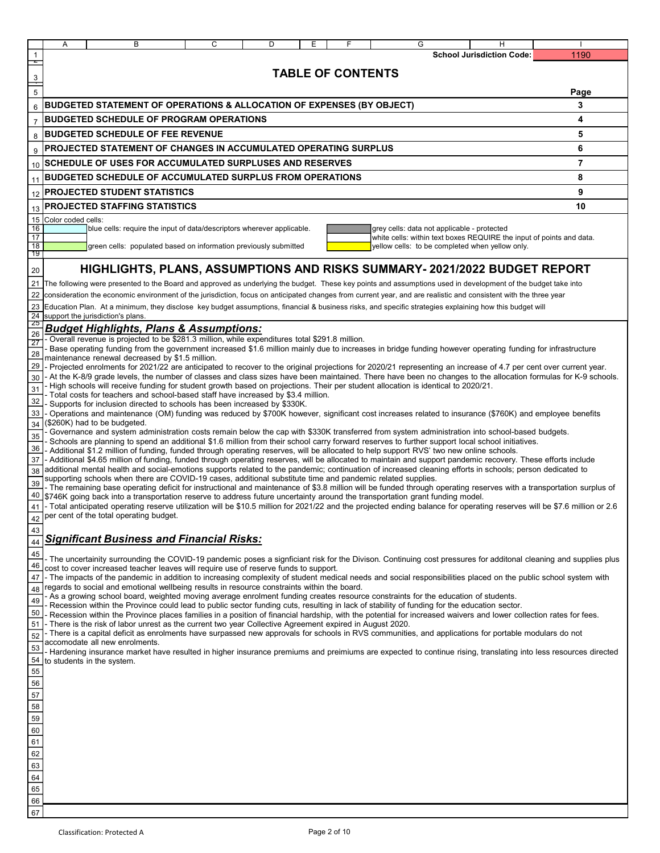|                       | Α<br>В<br>C<br>D<br>Ε                                                                                                                                                                                                                                                                            | G                                                                    | н                                |                |
|-----------------------|--------------------------------------------------------------------------------------------------------------------------------------------------------------------------------------------------------------------------------------------------------------------------------------------------|----------------------------------------------------------------------|----------------------------------|----------------|
| $\mathbf{1}$          |                                                                                                                                                                                                                                                                                                  |                                                                      | <b>School Jurisdiction Code:</b> | 1190           |
| z,                    |                                                                                                                                                                                                                                                                                                  |                                                                      |                                  |                |
|                       | <b>TABLE OF CONTENTS</b>                                                                                                                                                                                                                                                                         |                                                                      |                                  |                |
| $\frac{3}{5}$         |                                                                                                                                                                                                                                                                                                  |                                                                      |                                  | Page           |
|                       |                                                                                                                                                                                                                                                                                                  |                                                                      |                                  |                |
| $6\phantom{1}6$       | BUDGETED STATEMENT OF OPERATIONS & ALLOCATION OF EXPENSES (BY OBJECT)                                                                                                                                                                                                                            |                                                                      |                                  | 3              |
| $\overline{7}$        | <b>BUDGETED SCHEDULE OF PROGRAM OPERATIONS</b>                                                                                                                                                                                                                                                   |                                                                      |                                  | 4              |
| 8                     | <b>BUDGETED SCHEDULE OF FEE REVENUE</b>                                                                                                                                                                                                                                                          |                                                                      |                                  | 5              |
| 9                     | PROJECTED STATEMENT OF CHANGES IN ACCUMULATED OPERATING SURPLUS                                                                                                                                                                                                                                  |                                                                      |                                  | 6              |
|                       |                                                                                                                                                                                                                                                                                                  |                                                                      |                                  |                |
| 10 <sup>°</sup>       | <b>SCHEDULE OF USES FOR ACCUMULATED SURPLUSES AND RESERVES</b>                                                                                                                                                                                                                                   |                                                                      |                                  | $\overline{7}$ |
| 11                    | <b>BUDGETED SCHEDULE OF ACCUMULATED SURPLUS FROM OPERATIONS</b>                                                                                                                                                                                                                                  |                                                                      |                                  | 8              |
| 12                    | <b>PROJECTED STUDENT STATISTICS</b>                                                                                                                                                                                                                                                              |                                                                      |                                  | 9              |
| 13                    | <b>PROJECTED STAFFING STATISTICS</b>                                                                                                                                                                                                                                                             |                                                                      |                                  | 10             |
| 15                    | Color coded cells:                                                                                                                                                                                                                                                                               |                                                                      |                                  |                |
| 16                    | blue cells: require the input of data/descriptors wherever applicable.                                                                                                                                                                                                                           | grey cells: data not applicable - protected                          |                                  |                |
| 17                    |                                                                                                                                                                                                                                                                                                  | white cells: within text boxes REQUIRE the input of points and data. |                                  |                |
| $\overline{18}$<br>19 | green cells: populated based on information previously submitted                                                                                                                                                                                                                                 | yellow cells: to be completed when yellow only.                      |                                  |                |
|                       |                                                                                                                                                                                                                                                                                                  |                                                                      |                                  |                |
| 20                    | HIGHLIGHTS, PLANS, ASSUMPTIONS AND RISKS SUMMARY- 2021/2022 BUDGET REPORT                                                                                                                                                                                                                        |                                                                      |                                  |                |
|                       | 21 The following were presented to the Board and approved as underlying the budget. These key points and assumptions used in development of the budget take into                                                                                                                                 |                                                                      |                                  |                |
| 22                    | consideration the economic environment of the jurisdiction, focus on anticipated changes from current year, and are realistic and consistent with the three year                                                                                                                                 |                                                                      |                                  |                |
|                       | 23 Education Plan. At a minimum, they disclose key budget assumptions, financial & business risks, and specific strategies explaining how this budget will                                                                                                                                       |                                                                      |                                  |                |
| $\frac{24}{25}$       | support the jurisdiction's plans.                                                                                                                                                                                                                                                                |                                                                      |                                  |                |
| 26                    | <b>Budget Highlights, Plans &amp; Assumptions:</b><br>- Overall revenue is projected to be \$281.3 million, while expenditures total \$291.8 million.                                                                                                                                            |                                                                      |                                  |                |
| 27                    | Base operating funding from the government increased \$1.6 million mainly due to increases in bridge funding however operating funding for infrastructure                                                                                                                                        |                                                                      |                                  |                |
| 28                    | maintenance renewal decreased by \$1.5 million.                                                                                                                                                                                                                                                  |                                                                      |                                  |                |
| 29                    | - Projected enrolments for 2021/22 are anticipated to recover to the original projections for 2020/21 representing an increase of 4.7 per cent over current year.                                                                                                                                |                                                                      |                                  |                |
| 30                    | - At the K-8/9 grade levels, the number of classes and class sizes have been maintained. There have been no changes to the allocation formulas for K-9 schools.                                                                                                                                  |                                                                      |                                  |                |
| 31                    | High schools will receive funding for student growth based on projections. Their per student allocation is identical to 2020/21.<br>Total costs for teachers and school-based staff have increased by \$3.4 million.                                                                             |                                                                      |                                  |                |
| 32                    | Supports for inclusion directed to schools has been increased by \$330K.                                                                                                                                                                                                                         |                                                                      |                                  |                |
| 33                    | - Operations and maintenance (OM) funding was reduced by \$700K however, significant cost increases related to insurance (\$760K) and employee benefits                                                                                                                                          |                                                                      |                                  |                |
| 34                    | (\$260K) had to be budgeted.                                                                                                                                                                                                                                                                     |                                                                      |                                  |                |
| 35                    | Governance and system administration costs remain below the cap with \$330K transferred from system administration into school-based budgets.<br>Schools are planning to spend an additional \$1.6 million from their school carry forward reserves to further support local school initiatives. |                                                                      |                                  |                |
| 36                    | - Additional \$1.2 million of funding, funded through operating reserves, will be allocated to help support RVS' two new online schools.                                                                                                                                                         |                                                                      |                                  |                |
| 37                    | - Additional \$4.65 million of funding, funded through operating reserves, will be allocated to maintain and support pandemic recovery. These efforts include                                                                                                                                    |                                                                      |                                  |                |
| 38                    | additional mental health and social-emotions supports related to the pandemic; continuation of increased cleaning efforts in schools; person dedicated to<br>supporting schools when there are COVID-19 cases, additional substitute time and pandemic related supplies.                         |                                                                      |                                  |                |
| 39                    | - The remaining base operating deficit for instructional and maintenance of \$3.8 million will be funded through operating reserves with a transportation surplus of                                                                                                                             |                                                                      |                                  |                |
| 40                    | \$746K going back into a transportation reserve to address future uncertainty around the transportation grant funding model.                                                                                                                                                                     |                                                                      |                                  |                |
| 41                    | - Total anticipated operating reserve utilization will be \$10.5 million for 2021/22 and the projected ending balance for operating reserves will be \$7.6 million or 2.6                                                                                                                        |                                                                      |                                  |                |
| 42                    | per cent of the total operating budget.                                                                                                                                                                                                                                                          |                                                                      |                                  |                |
| 43                    |                                                                                                                                                                                                                                                                                                  |                                                                      |                                  |                |
| 44                    | <b>Significant Business and Financial Risks:</b>                                                                                                                                                                                                                                                 |                                                                      |                                  |                |
| 45                    | The uncertainity surrounding the COVID-19 pandemic poses a signficiant risk for the Divison. Continuing cost pressures for additonal cleaning and supplies plus                                                                                                                                  |                                                                      |                                  |                |
| 46                    | cost to cover increased teacher leaves will require use of reserve funds to support.                                                                                                                                                                                                             |                                                                      |                                  |                |
| 47                    | - The impacts of the pandemic in addition to increasing complexity of student medical needs and social responsibilities placed on the public school system with                                                                                                                                  |                                                                      |                                  |                |
| 48                    | regards to social and emotional wellbeing results in resource constraints within the board.<br>- As a growing school board, weighted moving average enrolment funding creates resource constraints for the education of students.                                                                |                                                                      |                                  |                |
| 49                    | Recession within the Province could lead to public sector funding cuts, resulting in lack of stability of funding for the education sector.                                                                                                                                                      |                                                                      |                                  |                |
| 50                    | - Recession within the Province places families in a position of financial hardship, with the potential for increased waivers and lower collection rates for fees.                                                                                                                               |                                                                      |                                  |                |
| 51                    | - There is the risk of labor unrest as the current two year Collective Agreement expired in August 2020.                                                                                                                                                                                         |                                                                      |                                  |                |
| 52                    | - There is a capital deficit as enrolments have surpassed new approvals for schools in RVS communities, and applications for portable modulars do not<br>accomodate all new enrolments.                                                                                                          |                                                                      |                                  |                |
| 53                    | Hardening insurance market have resulted in higher insurance premiums and preimiums are expected to continue rising, translating into less resources directed                                                                                                                                    |                                                                      |                                  |                |
| 54                    | to students in the system.                                                                                                                                                                                                                                                                       |                                                                      |                                  |                |
| 55                    |                                                                                                                                                                                                                                                                                                  |                                                                      |                                  |                |
| 56                    |                                                                                                                                                                                                                                                                                                  |                                                                      |                                  |                |
| 57                    |                                                                                                                                                                                                                                                                                                  |                                                                      |                                  |                |
| 58                    |                                                                                                                                                                                                                                                                                                  |                                                                      |                                  |                |
| 59                    |                                                                                                                                                                                                                                                                                                  |                                                                      |                                  |                |
| 60                    |                                                                                                                                                                                                                                                                                                  |                                                                      |                                  |                |
| 61                    |                                                                                                                                                                                                                                                                                                  |                                                                      |                                  |                |
| 62                    |                                                                                                                                                                                                                                                                                                  |                                                                      |                                  |                |
| 63                    |                                                                                                                                                                                                                                                                                                  |                                                                      |                                  |                |
| 64                    |                                                                                                                                                                                                                                                                                                  |                                                                      |                                  |                |
| 65                    |                                                                                                                                                                                                                                                                                                  |                                                                      |                                  |                |
| 66                    |                                                                                                                                                                                                                                                                                                  |                                                                      |                                  |                |

67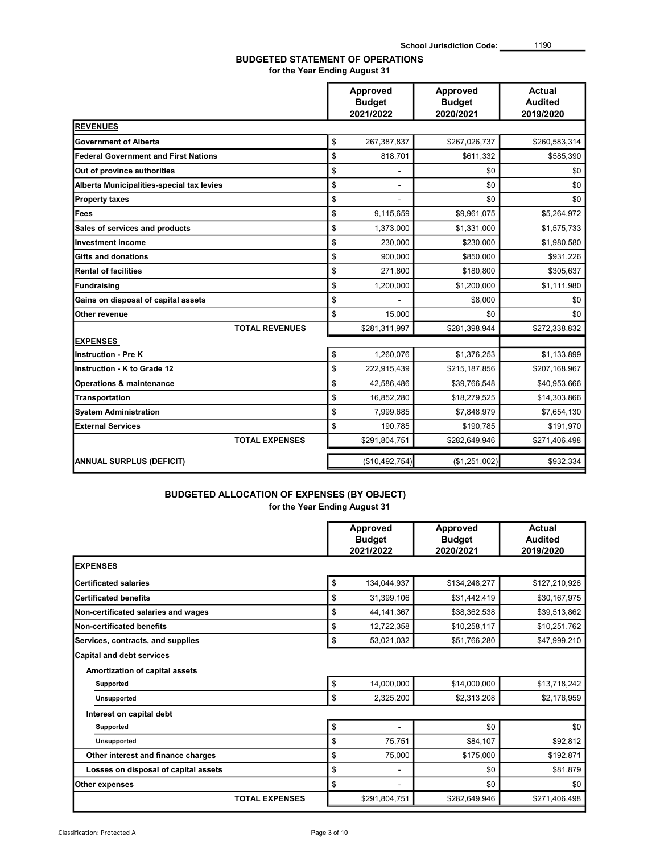# BUDGETED STATEMENT OF OPERATIONS

for the Year Ending August 31

|                                             | <b>Approved</b><br><b>Budget</b><br>2021/2022 | Approved<br><b>Budget</b><br>2020/2021 | <b>Actual</b><br><b>Audited</b><br>2019/2020 |
|---------------------------------------------|-----------------------------------------------|----------------------------------------|----------------------------------------------|
| <b>REVENUES</b>                             |                                               |                                        |                                              |
| Government of Alberta                       | \$<br>267,387,837                             | \$267,026,737                          | \$260,583,314                                |
| <b>Federal Government and First Nations</b> | \$<br>818,701                                 | \$611,332                              | \$585,390                                    |
| Out of province authorities                 | \$                                            | \$0                                    | \$0                                          |
| Alberta Municipalities-special tax levies   | \$                                            | \$0                                    | \$0                                          |
| <b>Property taxes</b>                       | \$                                            | \$0                                    | \$0                                          |
| <b>Fees</b>                                 | \$<br>9,115,659                               | \$9,961,075                            | \$5,264,972                                  |
| Sales of services and products              | \$<br>1,373,000                               | \$1,331,000                            | \$1,575,733                                  |
| <b>Investment income</b>                    | \$<br>230,000                                 | \$230,000                              | \$1,980,580                                  |
| <b>Gifts and donations</b>                  | \$<br>900,000                                 | \$850,000                              | \$931,226                                    |
| <b>Rental of facilities</b>                 | \$<br>271,800                                 | \$180,800                              | \$305,637                                    |
| Fundraising                                 | \$<br>1,200,000                               | \$1,200,000                            | \$1,111,980                                  |
| Gains on disposal of capital assets         | \$                                            | \$8,000                                | \$0                                          |
| Other revenue                               | \$<br>15,000                                  | \$0                                    | \$0                                          |
| <b>TOTAL REVENUES</b>                       | \$281,311,997                                 | \$281,398,944                          | \$272,338,832                                |
| <b>EXPENSES</b>                             |                                               |                                        |                                              |
| <b>Instruction - Pre K</b>                  | \$<br>1,260,076                               | \$1,376,253                            | \$1,133,899                                  |
| Instruction - K to Grade 12                 | \$<br>222,915,439                             | \$215,187,856                          | \$207,168,967                                |
| <b>Operations &amp; maintenance</b>         | \$<br>42,586,486                              | \$39,766,548                           | \$40,953,666                                 |
| Transportation                              | \$<br>16,852,280                              | \$18,279,525                           | \$14,303,866                                 |
| <b>System Administration</b>                | \$<br>7,999,685                               | \$7,848,979                            | \$7,654,130                                  |
| <b>External Services</b>                    | \$<br>190,785                                 | \$190,785                              | \$191,970                                    |
| <b>TOTAL EXPENSES</b>                       | \$291,804,751                                 | \$282,649,946                          | \$271,406,498                                |
| <b>ANNUAL SURPLUS (DEFICIT)</b>             | (\$10,492,754)                                | (\$1,251,002)                          | \$932,334                                    |

## BUDGETED ALLOCATION OF EXPENSES (BY OBJECT) for the Year Ending August 31

|                                                                    | Approved<br><b>Budget</b><br>2021/2022 | <b>Approved</b><br><b>Budget</b><br>2020/2021 | Actual<br><b>Audited</b><br>2019/2020 |
|--------------------------------------------------------------------|----------------------------------------|-----------------------------------------------|---------------------------------------|
| <b>EXPENSES</b>                                                    |                                        |                                               |                                       |
| Certificated salaries                                              | \$<br>134,044,937                      | \$134,248,277                                 | \$127,210,926                         |
| <b>Certificated benefits</b>                                       | \$<br>31,399,106                       | \$31,442,419                                  | \$30,167,975                          |
| Non-certificated salaries and wages                                | \$<br>44, 141, 367                     | \$38,362,538                                  | \$39,513,862                          |
| Non-certificated benefits                                          | \$<br>12,722,358                       | \$10,258,117                                  | \$10,251,762                          |
| Services, contracts, and supplies                                  | \$<br>53,021,032                       | \$51,766,280                                  | \$47,999,210                          |
| <b>Capital and debt services</b><br>Amortization of capital assets |                                        |                                               |                                       |
| Supported                                                          | \$<br>14,000,000                       | \$14,000,000                                  | \$13,718,242                          |
| Unsupported                                                        | \$<br>2,325,200                        | \$2,313,208                                   | \$2,176,959                           |
| Interest on capital debt                                           |                                        |                                               |                                       |
| <b>Supported</b>                                                   | \$                                     | \$0                                           | \$0                                   |
| <b>Unsupported</b>                                                 | \$<br>75,751                           | \$84,107                                      | \$92,812                              |
| Other interest and finance charges                                 | \$<br>75,000                           | \$175,000                                     | \$192,871                             |
| Losses on disposal of capital assets                               | \$<br>۰.                               | \$0                                           | \$81,879                              |
| Other expenses                                                     | \$                                     | \$0                                           | \$0                                   |
| <b>TOTAL EXPENSES</b>                                              | \$291,804,751                          | \$282,649,946                                 | \$271,406,498                         |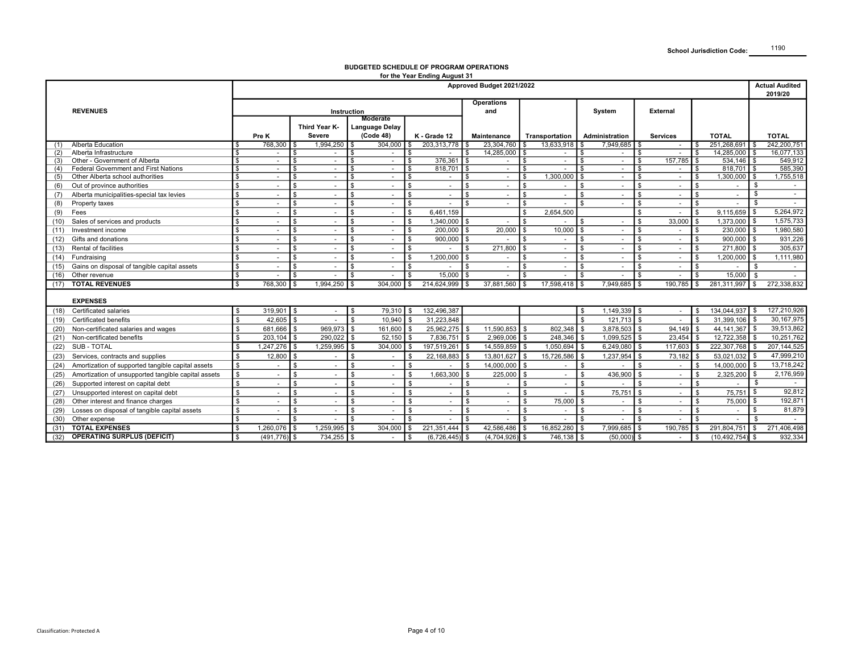| Operations<br><b>REVENUES</b><br>and<br>System<br><b>External</b><br>Instruction<br>Moderate<br>Third Year K-<br>Language Delay<br>(Code 48)<br>Severe<br>Pre K<br>K - Grade 12<br>Administration<br><b>TOTAL</b><br><b>TOTAL</b><br>Maintenance<br>Transportation<br><b>Services</b><br>768,300<br>1,994,250<br>304,000<br>203,313,778<br>23,304,760<br>13,633,918<br>7,949,685<br>251,268,691<br>242,200,751<br>(1) Alberta Education<br>\$.<br>\$<br>-S<br>$\sim$<br>(2) Alberta Infrastructure<br>14,285,000<br>14,285,000<br>16,077,133<br>$\sqrt{3}$<br>\$<br>\$<br>\$<br>$\sim$<br>$\sim$<br>$\sim$<br>S.<br>$\sim$<br>$\sim$<br>$\sim$<br>$\sim$<br>Other - Government of Alberta<br>376,361<br>157,785<br>534,146<br>549,912<br>(3)<br>\$<br>$\sim$<br>$\sim$<br>- \$<br>$\sim$<br>$\sim$<br>\$<br>l \$<br>$\sim$<br>$\sim$<br>£.<br>585,390<br>$818,701$ \$<br>(4) Federal Government and First Nations<br>\$<br>$\sim$<br>$\sim 100$<br>l \$<br>818,701<br>S.<br>$\sim$<br>l \$<br>$\sqrt{3}$<br>-S<br>\$.<br>$\sim$<br>\$<br>$\sim$<br>$\sim 10^{-1}$<br>\$<br>$\sim$<br>1,300,000<br>$1,300,000$ \$<br>1,755,518<br>(5) Other Alberta school authorities<br>\$<br>$\sim$<br>$\sim$<br>l \$<br>$\sim$<br>l \$<br>$\sim$<br><b>\$</b><br>$\sim 10^{-1}$<br>\$<br>$\sim$<br>l S<br>\$.<br>$\sim$<br>\$<br>S.<br>\$<br>(6) Out of province authorities<br>\$<br>l \$<br>\$<br>\$<br>\$<br>l s<br>$\sim$<br>-S<br>\$<br>$\sim$<br>$\sim$<br>$\sim$<br>$\sim$<br>$\sim$<br>$\sim$<br>$\sim$<br>$\sim$<br>$\sim$<br>\$<br>\$<br>(7) Alberta municipalities-special tax levies<br>\$<br>$\mathbf{s}$<br>$\sim$<br>\$<br>\$.<br>-S<br>\$<br>$\sim$<br>$\sim$<br>$\sim$<br>$\sim$<br>$\sim$<br>$\sim$<br>$\sim$<br>\$.<br>$\sim$<br>$\sim$<br>\$<br>$\mathbb{S}$<br>١s<br>l \$<br>۱s<br>\$<br>$\mathfrak{L}$<br>$\mathbf{\hat{s}}$<br>$\mathbb{S}$<br>$\blacksquare$<br>(8) Property taxes<br>$\sim$<br>$\sim$<br>$\omega$<br>$\sim$<br>$\sim$<br>$\sim$<br>$\sim$<br>$\sim$<br>$\sim$<br>5,264,972<br>2,654,500<br>6,461,159<br>9,115,659<br><b>S</b><br>\$<br>\$<br>$(9)$ Fees<br>l s<br>$\sim$<br>l \$<br>-S<br>£.<br>\$<br>$\sim$<br>$\sim$<br>$\sim$<br>1,575,733<br>1,340,000<br>\$<br>33,000<br>1,373,000 \$<br>(10) Sales of services and products<br>$\frac{1}{2}$<br>l s<br>l \$<br>١s<br>$\mathbf{s}$<br>$\sim$<br>$\sim$ $-$<br>$\sim$<br>$\sim$<br>\$.<br>$\sim$<br>£.<br>$\sim$<br>10,000<br>1,980,580<br>\$<br>ls.<br>200,000<br>20,000<br>\$<br>230,000<br>l \$<br>(11) Investment income<br>l s<br>$\sim$<br>\$<br>$\sim$<br>١s<br>$\sim$<br>\$<br>$\sim$<br>$\sim$<br>$900,000$ \$<br>931,226<br>\$<br>l \$<br>900,000<br>\$<br>\$<br>(12) Gifts and donations<br>l s<br>S.<br>١s<br>$\sim$<br>$\sim$<br>$\sim$<br>\$<br>$\sim$ $-$<br>$\sim$<br>$\sim$<br>$\sim$<br>\$<br>271,800<br>271,800<br>305,637<br>(13) Rental of facilities<br>١s<br>l \$<br>\$<br>l s<br>$\mathbf{s}$<br>\$<br>\$<br><b>S</b><br>$\sim$<br>$\sim$<br>$\mathcal{L}_{\mathcal{A}}$<br>$\sim$<br>$\sim$<br>$\blacksquare$<br>$\sim$<br>1,200,000<br>1,200,000<br>1,111,980<br>(14) Fundraising<br>\$<br>١s<br>l \$<br>\$<br><b>S</b><br>$\sim$<br>$\sim$<br>$\sim$<br>. ድ<br>$\sim$<br>\$.<br>$\sim$<br>$\sim$ $-$<br>\$<br>$\sim$<br>(15) Gains on disposal of tangible capital assets<br>\$<br>\$<br>l s<br>l \$<br>-S<br>\$.<br>- \$<br>$\sim$<br>$\sim$<br>$\sim$<br>$\sim$<br>-S<br>$\sim$<br>$\sim$<br>$\sim$<br>$\sim$<br>$\sim$<br>$\sim$<br>(16) Other revenue<br>\$<br>15,000<br>15,000<br>$\mathbf{s}$<br>l \$<br>-S<br>\$<br>\$<br>$\sim$<br>$\sim$<br>$\sim$<br>$\sim$<br>$\sim$<br>\$.<br>$\sim$<br>\$<br>$\sim$<br>$\sim$<br>(17) TOTAL REVENUES<br>768,300<br>1,994,250<br>$304,000$ \$<br>214,624,999<br>37,881,560<br>17,598,418<br>7,949,685<br>190,785<br>281,311,997<br>272,338,832<br>\$<br>$\mathbb{S}$<br>l S<br>l S<br>\$<br>-S<br><b>EXPENSES</b><br>127,210,926<br>(18) Certificated salaries<br>319,901<br>$79,310$ \$<br>132,496,387<br>1,149,339<br>134,044,937 \$<br>$\mathbf{s}$<br>\$<br>\$<br>\$<br>l s<br>$\sim$<br>\$<br>$\sim 100$<br>$\frac{1}{2}$<br>30,167,975<br>42,605<br>10.940<br>31,223,848<br>$\mathbb{S}$<br>121,713<br>$\mathbf{s}$<br>$\mathbf{\hat{s}}$<br>31,399,106 \$<br>(19) Certificated benefits<br>l s<br>$\mathfrak{L}$<br>$\mathbf{s}$<br>$\mathcal{L}$<br>$\sim$<br>39,513,862<br>969,973<br>3,878,503<br>94,149<br>44, 141, 367<br>(20) Non-certificated salaries and wages<br><b>\$</b><br>681,666<br>161,600<br>25,962,275<br>11,590,853<br>802,348<br>\$<br><b>S</b><br>l s<br>l \$<br>\$<br>$\mathbf{\hat{s}}$<br>\$.<br>$\sqrt{2}$<br>203,104<br>290,022<br>52,150<br>7,836,751<br>2,969,006<br>248,346<br>1,099,525<br>23,454<br>12,722,358<br>10,251,762<br>(21) Non-certificated benefits<br>\$<br>l \$<br>l s<br>\$<br>$\mathbf{\hat{s}}$<br>$\sqrt{3}$<br>222,307,768 \$<br>207, 144, 525<br>(22) SUB - TOTAL<br>1,247,276<br>1,259,995<br>304,000<br>197,519,261<br>14,559,859<br>1,050,694<br>6,249,080<br>117,603<br>l \$<br>- \$<br>- \$<br>\$<br>47,999,210<br>12,800<br>22,168,883<br>13,801,627<br>1,237,954<br>73,182<br>53,021,032<br>l \$<br>(23) Services, contracts and supplies<br>\$<br>15,726,586<br>\$<br>l \$<br>$\mathbf{s}$<br>l S<br>$\mathbf{\$}$<br>$\sim$<br>$\sim$<br>13,718,242<br>\$<br>14,000,000<br>\$<br>14,000,000<br>l \$<br>(24) Amortization of supported tangible capital assets<br>l s<br>\$<br>l s<br>\$<br>$\mathbf{s}$<br>$\sim$<br>$\mathfrak{L}$<br>\$<br>$\sim$<br>$\sim$<br>$\sim$<br>$\sim$<br>$\sim$<br>$\sim$ 10 $\pm$<br>2,176,959<br>436,900<br>(25) Amortization of unsupported tangible capital assets<br>\$<br>1,663,300<br>225,000<br>2,325,200<br>l \$<br>l \$<br>$\sim$<br>\$<br>$\sim$<br>- \$<br>- \$<br>\$<br>\$<br>$\mathbf{\hat{s}}$<br>\$<br>$\sim$<br>$\sim$<br>$\sim$<br>(26) Supported interest on capital debt<br>\$<br>\$<br>\$<br>- \$<br>$\sim$<br>$\sim$<br>\$<br>\$<br>- \$<br>$\sim$<br>\$.<br>- \$<br>$\sim$<br>$\sim$<br>$\sim$<br>$\sim$<br>$\sim$<br>$\sim$ 10 $\pm$<br>$\sim$<br>(27) Unsupported interest on capital debt<br>$\sqrt[6]{3}$<br>75,751<br>75,751<br>92,812<br>l \$<br>l \$<br>\$<br>l s<br>\$<br>\$<br>\$<br><b>S</b><br>$\sim$<br>\$<br>$\sim$<br>$\sim$<br>$\sim$<br>$\sim 100$<br>$\sim$<br>$\sim$<br>192,871<br>(28) Other interest and finance charges<br>75,000<br>\$<br>75,000 \$<br>\$<br>\$<br>\$<br>l \$<br>- \$<br>\$<br>\$<br>$\sim$<br>$\sim$<br>$\sim$<br>$\sim$<br>$\sim$<br>$\sim$<br>$\sim$<br>81,879<br>(29) Losses on disposal of tangible capital assets<br>$\sqrt{3}$<br>\$<br>$\mathbf{\$}$<br>$\mathbf{\hat{s}}$<br><b>S</b><br>l s<br>\$<br>$\mathbf{s}$<br>\$<br>$\sim$<br>$\sim$<br>$\sim$<br>$\sim$<br>$\sim$<br>$\sim$<br>$\sim$<br>$\sim$<br>$\sim$<br>(30) Other expense<br><b>S</b><br>$\mathbf{s}$<br>\$<br>$\sim$<br>$\sim$<br>l \$<br>$\sim$<br>$\sim$<br>$\sim$<br>\$<br>$\sim$<br>l \$<br>$\sim$<br>\$<br>$\sim$<br>£.<br>$\sim$<br>-S<br>$\sim$<br>1,259,995<br>221,351,444<br>16,852,280<br>(31) TOTAL EXPENSES<br>S.<br>$1,260,076$ \$<br>$304,000$ \$<br>42,586,486 \$<br>7,999,685 \$<br>190,785<br>291,804,751<br>271,406,498<br>\$.<br>\$<br>\$<br><b>S</b><br>S.<br>(32) OPERATING SURPLUS (DEFICIT)<br>$(491,776)$ \$<br>734,255<br>(6,726,445)<br>$(4,704,926)$ \$<br>746,138<br>$(50,000)$ \$<br>932,334<br><b>S</b><br>(10, 492, 754)<br>$\sim$ $-$<br>\$<br>$\sim$ $-$<br>\$<br>l \$ |  |
|----------------------------------------------------------------------------------------------------------------------------------------------------------------------------------------------------------------------------------------------------------------------------------------------------------------------------------------------------------------------------------------------------------------------------------------------------------------------------------------------------------------------------------------------------------------------------------------------------------------------------------------------------------------------------------------------------------------------------------------------------------------------------------------------------------------------------------------------------------------------------------------------------------------------------------------------------------------------------------------------------------------------------------------------------------------------------------------------------------------------------------------------------------------------------------------------------------------------------------------------------------------------------------------------------------------------------------------------------------------------------------------------------------------------------------------------------------------------------------------------------------------------------------------------------------------------------------------------------------------------------------------------------------------------------------------------------------------------------------------------------------------------------------------------------------------------------------------------------------------------------------------------------------------------------------------------------------------------------------------------------------------------------------------------------------------------------------------------------------------------------------------------------------------------------------------------------------------------------------------------------------------------------------------------------------------------------------------------------------------------------------------------------------------------------------------------------------------------------------------------------------------------------------------------------------------------------------------------------------------------------------------------------------------------------------------------------------------------------------------------------------------------------------------------------------------------------------------------------------------------------------------------------------------------------------------------------------------------------------------------------------------------------------------------------------------------------------------------------------------------------------------------------------------------------------------------------------------------------------------------------------------------------------------------------------------------------------------------------------------------------------------------------------------------------------------------------------------------------------------------------------------------------------------------------------------------------------------------------------------------------------------------------------------------------------------------------------------------------------------------------------------------------------------------------------------------------------------------------------------------------------------------------------------------------------------------------------------------------------------------------------------------------------------------------------------------------------------------------------------------------------------------------------------------------------------------------------------------------------------------------------------------------------------------------------------------------------------------------------------------------------------------------------------------------------------------------------------------------------------------------------------------------------------------------------------------------------------------------------------------------------------------------------------------------------------------------------------------------------------------------------------------------------------------------------------------------------------------------------------------------------------------------------------------------------------------------------------------------------------------------------------------------------------------------------------------------------------------------------------------------------------------------------------------------------------------------------------------------------------------------------------------------------------------------------------------------------------------------------------------------------------------------------------------------------------------------------------------------------------------------------------------------------------------------------------------------------------------------------------------------------------------------------------------------------------------------------------------------------------------------------------------------------------------------------------------------------------------------------------------------------------------------------------------------------------------------------------------------------------------------------------------------------------------------------------------------------------------------------------------------------------------------------------------------------------------------------------------------------------------------------------------------------------------------------------------------------------------------------------------------------------------------------------------------------------------------------------------------------------------------------------------------------------------------------------------------------------------------------------------------------------------------------------------------------------------------------------------------------------------------------------------------------------------------------------------------------------------------------------------------------------------------------------------------------------------------------------------------------------------------------------------------------------------------------------------------------------------------------------------------------------------------------------------------------------------------------------------------------------------------------------------------------------------------------------------------------------------------------------------------------------------------|--|
|                                                                                                                                                                                                                                                                                                                                                                                                                                                                                                                                                                                                                                                                                                                                                                                                                                                                                                                                                                                                                                                                                                                                                                                                                                                                                                                                                                                                                                                                                                                                                                                                                                                                                                                                                                                                                                                                                                                                                                                                                                                                                                                                                                                                                                                                                                                                                                                                                                                                                                                                                                                                                                                                                                                                                                                                                                                                                                                                                                                                                                                                                                                                                                                                                                                                                                                                                                                                                                                                                                                                                                                                                                                                                                                                                                                                                                                                                                                                                                                                                                                                                                                                                                                                                                                                                                                                                                                                                                                                                                                                                                                                                                                                                                                                                                                                                                                                                                                                                                                                                                                                                                                                                                                                                                                                                                                                                                                                                                                                                                                                                                                                                                                                                                                                                                                                                                                                                                                                                                                                                                                                                                                                                                                                                                                                                                                                                                                                                                                                                                                                                                                                                                                                                                                                                                                                                                                                                                                                                                                                                                                                                                                                                                                                                                                                                                                                                                                                    |  |
|                                                                                                                                                                                                                                                                                                                                                                                                                                                                                                                                                                                                                                                                                                                                                                                                                                                                                                                                                                                                                                                                                                                                                                                                                                                                                                                                                                                                                                                                                                                                                                                                                                                                                                                                                                                                                                                                                                                                                                                                                                                                                                                                                                                                                                                                                                                                                                                                                                                                                                                                                                                                                                                                                                                                                                                                                                                                                                                                                                                                                                                                                                                                                                                                                                                                                                                                                                                                                                                                                                                                                                                                                                                                                                                                                                                                                                                                                                                                                                                                                                                                                                                                                                                                                                                                                                                                                                                                                                                                                                                                                                                                                                                                                                                                                                                                                                                                                                                                                                                                                                                                                                                                                                                                                                                                                                                                                                                                                                                                                                                                                                                                                                                                                                                                                                                                                                                                                                                                                                                                                                                                                                                                                                                                                                                                                                                                                                                                                                                                                                                                                                                                                                                                                                                                                                                                                                                                                                                                                                                                                                                                                                                                                                                                                                                                                                                                                                                                    |  |
|                                                                                                                                                                                                                                                                                                                                                                                                                                                                                                                                                                                                                                                                                                                                                                                                                                                                                                                                                                                                                                                                                                                                                                                                                                                                                                                                                                                                                                                                                                                                                                                                                                                                                                                                                                                                                                                                                                                                                                                                                                                                                                                                                                                                                                                                                                                                                                                                                                                                                                                                                                                                                                                                                                                                                                                                                                                                                                                                                                                                                                                                                                                                                                                                                                                                                                                                                                                                                                                                                                                                                                                                                                                                                                                                                                                                                                                                                                                                                                                                                                                                                                                                                                                                                                                                                                                                                                                                                                                                                                                                                                                                                                                                                                                                                                                                                                                                                                                                                                                                                                                                                                                                                                                                                                                                                                                                                                                                                                                                                                                                                                                                                                                                                                                                                                                                                                                                                                                                                                                                                                                                                                                                                                                                                                                                                                                                                                                                                                                                                                                                                                                                                                                                                                                                                                                                                                                                                                                                                                                                                                                                                                                                                                                                                                                                                                                                                                                                    |  |
|                                                                                                                                                                                                                                                                                                                                                                                                                                                                                                                                                                                                                                                                                                                                                                                                                                                                                                                                                                                                                                                                                                                                                                                                                                                                                                                                                                                                                                                                                                                                                                                                                                                                                                                                                                                                                                                                                                                                                                                                                                                                                                                                                                                                                                                                                                                                                                                                                                                                                                                                                                                                                                                                                                                                                                                                                                                                                                                                                                                                                                                                                                                                                                                                                                                                                                                                                                                                                                                                                                                                                                                                                                                                                                                                                                                                                                                                                                                                                                                                                                                                                                                                                                                                                                                                                                                                                                                                                                                                                                                                                                                                                                                                                                                                                                                                                                                                                                                                                                                                                                                                                                                                                                                                                                                                                                                                                                                                                                                                                                                                                                                                                                                                                                                                                                                                                                                                                                                                                                                                                                                                                                                                                                                                                                                                                                                                                                                                                                                                                                                                                                                                                                                                                                                                                                                                                                                                                                                                                                                                                                                                                                                                                                                                                                                                                                                                                                                                    |  |
|                                                                                                                                                                                                                                                                                                                                                                                                                                                                                                                                                                                                                                                                                                                                                                                                                                                                                                                                                                                                                                                                                                                                                                                                                                                                                                                                                                                                                                                                                                                                                                                                                                                                                                                                                                                                                                                                                                                                                                                                                                                                                                                                                                                                                                                                                                                                                                                                                                                                                                                                                                                                                                                                                                                                                                                                                                                                                                                                                                                                                                                                                                                                                                                                                                                                                                                                                                                                                                                                                                                                                                                                                                                                                                                                                                                                                                                                                                                                                                                                                                                                                                                                                                                                                                                                                                                                                                                                                                                                                                                                                                                                                                                                                                                                                                                                                                                                                                                                                                                                                                                                                                                                                                                                                                                                                                                                                                                                                                                                                                                                                                                                                                                                                                                                                                                                                                                                                                                                                                                                                                                                                                                                                                                                                                                                                                                                                                                                                                                                                                                                                                                                                                                                                                                                                                                                                                                                                                                                                                                                                                                                                                                                                                                                                                                                                                                                                                                                    |  |
|                                                                                                                                                                                                                                                                                                                                                                                                                                                                                                                                                                                                                                                                                                                                                                                                                                                                                                                                                                                                                                                                                                                                                                                                                                                                                                                                                                                                                                                                                                                                                                                                                                                                                                                                                                                                                                                                                                                                                                                                                                                                                                                                                                                                                                                                                                                                                                                                                                                                                                                                                                                                                                                                                                                                                                                                                                                                                                                                                                                                                                                                                                                                                                                                                                                                                                                                                                                                                                                                                                                                                                                                                                                                                                                                                                                                                                                                                                                                                                                                                                                                                                                                                                                                                                                                                                                                                                                                                                                                                                                                                                                                                                                                                                                                                                                                                                                                                                                                                                                                                                                                                                                                                                                                                                                                                                                                                                                                                                                                                                                                                                                                                                                                                                                                                                                                                                                                                                                                                                                                                                                                                                                                                                                                                                                                                                                                                                                                                                                                                                                                                                                                                                                                                                                                                                                                                                                                                                                                                                                                                                                                                                                                                                                                                                                                                                                                                                                                    |  |
|                                                                                                                                                                                                                                                                                                                                                                                                                                                                                                                                                                                                                                                                                                                                                                                                                                                                                                                                                                                                                                                                                                                                                                                                                                                                                                                                                                                                                                                                                                                                                                                                                                                                                                                                                                                                                                                                                                                                                                                                                                                                                                                                                                                                                                                                                                                                                                                                                                                                                                                                                                                                                                                                                                                                                                                                                                                                                                                                                                                                                                                                                                                                                                                                                                                                                                                                                                                                                                                                                                                                                                                                                                                                                                                                                                                                                                                                                                                                                                                                                                                                                                                                                                                                                                                                                                                                                                                                                                                                                                                                                                                                                                                                                                                                                                                                                                                                                                                                                                                                                                                                                                                                                                                                                                                                                                                                                                                                                                                                                                                                                                                                                                                                                                                                                                                                                                                                                                                                                                                                                                                                                                                                                                                                                                                                                                                                                                                                                                                                                                                                                                                                                                                                                                                                                                                                                                                                                                                                                                                                                                                                                                                                                                                                                                                                                                                                                                                                    |  |
|                                                                                                                                                                                                                                                                                                                                                                                                                                                                                                                                                                                                                                                                                                                                                                                                                                                                                                                                                                                                                                                                                                                                                                                                                                                                                                                                                                                                                                                                                                                                                                                                                                                                                                                                                                                                                                                                                                                                                                                                                                                                                                                                                                                                                                                                                                                                                                                                                                                                                                                                                                                                                                                                                                                                                                                                                                                                                                                                                                                                                                                                                                                                                                                                                                                                                                                                                                                                                                                                                                                                                                                                                                                                                                                                                                                                                                                                                                                                                                                                                                                                                                                                                                                                                                                                                                                                                                                                                                                                                                                                                                                                                                                                                                                                                                                                                                                                                                                                                                                                                                                                                                                                                                                                                                                                                                                                                                                                                                                                                                                                                                                                                                                                                                                                                                                                                                                                                                                                                                                                                                                                                                                                                                                                                                                                                                                                                                                                                                                                                                                                                                                                                                                                                                                                                                                                                                                                                                                                                                                                                                                                                                                                                                                                                                                                                                                                                                                                    |  |
|                                                                                                                                                                                                                                                                                                                                                                                                                                                                                                                                                                                                                                                                                                                                                                                                                                                                                                                                                                                                                                                                                                                                                                                                                                                                                                                                                                                                                                                                                                                                                                                                                                                                                                                                                                                                                                                                                                                                                                                                                                                                                                                                                                                                                                                                                                                                                                                                                                                                                                                                                                                                                                                                                                                                                                                                                                                                                                                                                                                                                                                                                                                                                                                                                                                                                                                                                                                                                                                                                                                                                                                                                                                                                                                                                                                                                                                                                                                                                                                                                                                                                                                                                                                                                                                                                                                                                                                                                                                                                                                                                                                                                                                                                                                                                                                                                                                                                                                                                                                                                                                                                                                                                                                                                                                                                                                                                                                                                                                                                                                                                                                                                                                                                                                                                                                                                                                                                                                                                                                                                                                                                                                                                                                                                                                                                                                                                                                                                                                                                                                                                                                                                                                                                                                                                                                                                                                                                                                                                                                                                                                                                                                                                                                                                                                                                                                                                                                                    |  |
|                                                                                                                                                                                                                                                                                                                                                                                                                                                                                                                                                                                                                                                                                                                                                                                                                                                                                                                                                                                                                                                                                                                                                                                                                                                                                                                                                                                                                                                                                                                                                                                                                                                                                                                                                                                                                                                                                                                                                                                                                                                                                                                                                                                                                                                                                                                                                                                                                                                                                                                                                                                                                                                                                                                                                                                                                                                                                                                                                                                                                                                                                                                                                                                                                                                                                                                                                                                                                                                                                                                                                                                                                                                                                                                                                                                                                                                                                                                                                                                                                                                                                                                                                                                                                                                                                                                                                                                                                                                                                                                                                                                                                                                                                                                                                                                                                                                                                                                                                                                                                                                                                                                                                                                                                                                                                                                                                                                                                                                                                                                                                                                                                                                                                                                                                                                                                                                                                                                                                                                                                                                                                                                                                                                                                                                                                                                                                                                                                                                                                                                                                                                                                                                                                                                                                                                                                                                                                                                                                                                                                                                                                                                                                                                                                                                                                                                                                                                                    |  |
|                                                                                                                                                                                                                                                                                                                                                                                                                                                                                                                                                                                                                                                                                                                                                                                                                                                                                                                                                                                                                                                                                                                                                                                                                                                                                                                                                                                                                                                                                                                                                                                                                                                                                                                                                                                                                                                                                                                                                                                                                                                                                                                                                                                                                                                                                                                                                                                                                                                                                                                                                                                                                                                                                                                                                                                                                                                                                                                                                                                                                                                                                                                                                                                                                                                                                                                                                                                                                                                                                                                                                                                                                                                                                                                                                                                                                                                                                                                                                                                                                                                                                                                                                                                                                                                                                                                                                                                                                                                                                                                                                                                                                                                                                                                                                                                                                                                                                                                                                                                                                                                                                                                                                                                                                                                                                                                                                                                                                                                                                                                                                                                                                                                                                                                                                                                                                                                                                                                                                                                                                                                                                                                                                                                                                                                                                                                                                                                                                                                                                                                                                                                                                                                                                                                                                                                                                                                                                                                                                                                                                                                                                                                                                                                                                                                                                                                                                                                                    |  |
|                                                                                                                                                                                                                                                                                                                                                                                                                                                                                                                                                                                                                                                                                                                                                                                                                                                                                                                                                                                                                                                                                                                                                                                                                                                                                                                                                                                                                                                                                                                                                                                                                                                                                                                                                                                                                                                                                                                                                                                                                                                                                                                                                                                                                                                                                                                                                                                                                                                                                                                                                                                                                                                                                                                                                                                                                                                                                                                                                                                                                                                                                                                                                                                                                                                                                                                                                                                                                                                                                                                                                                                                                                                                                                                                                                                                                                                                                                                                                                                                                                                                                                                                                                                                                                                                                                                                                                                                                                                                                                                                                                                                                                                                                                                                                                                                                                                                                                                                                                                                                                                                                                                                                                                                                                                                                                                                                                                                                                                                                                                                                                                                                                                                                                                                                                                                                                                                                                                                                                                                                                                                                                                                                                                                                                                                                                                                                                                                                                                                                                                                                                                                                                                                                                                                                                                                                                                                                                                                                                                                                                                                                                                                                                                                                                                                                                                                                                                                    |  |
|                                                                                                                                                                                                                                                                                                                                                                                                                                                                                                                                                                                                                                                                                                                                                                                                                                                                                                                                                                                                                                                                                                                                                                                                                                                                                                                                                                                                                                                                                                                                                                                                                                                                                                                                                                                                                                                                                                                                                                                                                                                                                                                                                                                                                                                                                                                                                                                                                                                                                                                                                                                                                                                                                                                                                                                                                                                                                                                                                                                                                                                                                                                                                                                                                                                                                                                                                                                                                                                                                                                                                                                                                                                                                                                                                                                                                                                                                                                                                                                                                                                                                                                                                                                                                                                                                                                                                                                                                                                                                                                                                                                                                                                                                                                                                                                                                                                                                                                                                                                                                                                                                                                                                                                                                                                                                                                                                                                                                                                                                                                                                                                                                                                                                                                                                                                                                                                                                                                                                                                                                                                                                                                                                                                                                                                                                                                                                                                                                                                                                                                                                                                                                                                                                                                                                                                                                                                                                                                                                                                                                                                                                                                                                                                                                                                                                                                                                                                                    |  |
|                                                                                                                                                                                                                                                                                                                                                                                                                                                                                                                                                                                                                                                                                                                                                                                                                                                                                                                                                                                                                                                                                                                                                                                                                                                                                                                                                                                                                                                                                                                                                                                                                                                                                                                                                                                                                                                                                                                                                                                                                                                                                                                                                                                                                                                                                                                                                                                                                                                                                                                                                                                                                                                                                                                                                                                                                                                                                                                                                                                                                                                                                                                                                                                                                                                                                                                                                                                                                                                                                                                                                                                                                                                                                                                                                                                                                                                                                                                                                                                                                                                                                                                                                                                                                                                                                                                                                                                                                                                                                                                                                                                                                                                                                                                                                                                                                                                                                                                                                                                                                                                                                                                                                                                                                                                                                                                                                                                                                                                                                                                                                                                                                                                                                                                                                                                                                                                                                                                                                                                                                                                                                                                                                                                                                                                                                                                                                                                                                                                                                                                                                                                                                                                                                                                                                                                                                                                                                                                                                                                                                                                                                                                                                                                                                                                                                                                                                                                                    |  |
|                                                                                                                                                                                                                                                                                                                                                                                                                                                                                                                                                                                                                                                                                                                                                                                                                                                                                                                                                                                                                                                                                                                                                                                                                                                                                                                                                                                                                                                                                                                                                                                                                                                                                                                                                                                                                                                                                                                                                                                                                                                                                                                                                                                                                                                                                                                                                                                                                                                                                                                                                                                                                                                                                                                                                                                                                                                                                                                                                                                                                                                                                                                                                                                                                                                                                                                                                                                                                                                                                                                                                                                                                                                                                                                                                                                                                                                                                                                                                                                                                                                                                                                                                                                                                                                                                                                                                                                                                                                                                                                                                                                                                                                                                                                                                                                                                                                                                                                                                                                                                                                                                                                                                                                                                                                                                                                                                                                                                                                                                                                                                                                                                                                                                                                                                                                                                                                                                                                                                                                                                                                                                                                                                                                                                                                                                                                                                                                                                                                                                                                                                                                                                                                                                                                                                                                                                                                                                                                                                                                                                                                                                                                                                                                                                                                                                                                                                                                                    |  |
|                                                                                                                                                                                                                                                                                                                                                                                                                                                                                                                                                                                                                                                                                                                                                                                                                                                                                                                                                                                                                                                                                                                                                                                                                                                                                                                                                                                                                                                                                                                                                                                                                                                                                                                                                                                                                                                                                                                                                                                                                                                                                                                                                                                                                                                                                                                                                                                                                                                                                                                                                                                                                                                                                                                                                                                                                                                                                                                                                                                                                                                                                                                                                                                                                                                                                                                                                                                                                                                                                                                                                                                                                                                                                                                                                                                                                                                                                                                                                                                                                                                                                                                                                                                                                                                                                                                                                                                                                                                                                                                                                                                                                                                                                                                                                                                                                                                                                                                                                                                                                                                                                                                                                                                                                                                                                                                                                                                                                                                                                                                                                                                                                                                                                                                                                                                                                                                                                                                                                                                                                                                                                                                                                                                                                                                                                                                                                                                                                                                                                                                                                                                                                                                                                                                                                                                                                                                                                                                                                                                                                                                                                                                                                                                                                                                                                                                                                                                                    |  |
|                                                                                                                                                                                                                                                                                                                                                                                                                                                                                                                                                                                                                                                                                                                                                                                                                                                                                                                                                                                                                                                                                                                                                                                                                                                                                                                                                                                                                                                                                                                                                                                                                                                                                                                                                                                                                                                                                                                                                                                                                                                                                                                                                                                                                                                                                                                                                                                                                                                                                                                                                                                                                                                                                                                                                                                                                                                                                                                                                                                                                                                                                                                                                                                                                                                                                                                                                                                                                                                                                                                                                                                                                                                                                                                                                                                                                                                                                                                                                                                                                                                                                                                                                                                                                                                                                                                                                                                                                                                                                                                                                                                                                                                                                                                                                                                                                                                                                                                                                                                                                                                                                                                                                                                                                                                                                                                                                                                                                                                                                                                                                                                                                                                                                                                                                                                                                                                                                                                                                                                                                                                                                                                                                                                                                                                                                                                                                                                                                                                                                                                                                                                                                                                                                                                                                                                                                                                                                                                                                                                                                                                                                                                                                                                                                                                                                                                                                                                                    |  |
|                                                                                                                                                                                                                                                                                                                                                                                                                                                                                                                                                                                                                                                                                                                                                                                                                                                                                                                                                                                                                                                                                                                                                                                                                                                                                                                                                                                                                                                                                                                                                                                                                                                                                                                                                                                                                                                                                                                                                                                                                                                                                                                                                                                                                                                                                                                                                                                                                                                                                                                                                                                                                                                                                                                                                                                                                                                                                                                                                                                                                                                                                                                                                                                                                                                                                                                                                                                                                                                                                                                                                                                                                                                                                                                                                                                                                                                                                                                                                                                                                                                                                                                                                                                                                                                                                                                                                                                                                                                                                                                                                                                                                                                                                                                                                                                                                                                                                                                                                                                                                                                                                                                                                                                                                                                                                                                                                                                                                                                                                                                                                                                                                                                                                                                                                                                                                                                                                                                                                                                                                                                                                                                                                                                                                                                                                                                                                                                                                                                                                                                                                                                                                                                                                                                                                                                                                                                                                                                                                                                                                                                                                                                                                                                                                                                                                                                                                                                                    |  |
|                                                                                                                                                                                                                                                                                                                                                                                                                                                                                                                                                                                                                                                                                                                                                                                                                                                                                                                                                                                                                                                                                                                                                                                                                                                                                                                                                                                                                                                                                                                                                                                                                                                                                                                                                                                                                                                                                                                                                                                                                                                                                                                                                                                                                                                                                                                                                                                                                                                                                                                                                                                                                                                                                                                                                                                                                                                                                                                                                                                                                                                                                                                                                                                                                                                                                                                                                                                                                                                                                                                                                                                                                                                                                                                                                                                                                                                                                                                                                                                                                                                                                                                                                                                                                                                                                                                                                                                                                                                                                                                                                                                                                                                                                                                                                                                                                                                                                                                                                                                                                                                                                                                                                                                                                                                                                                                                                                                                                                                                                                                                                                                                                                                                                                                                                                                                                                                                                                                                                                                                                                                                                                                                                                                                                                                                                                                                                                                                                                                                                                                                                                                                                                                                                                                                                                                                                                                                                                                                                                                                                                                                                                                                                                                                                                                                                                                                                                                                    |  |
|                                                                                                                                                                                                                                                                                                                                                                                                                                                                                                                                                                                                                                                                                                                                                                                                                                                                                                                                                                                                                                                                                                                                                                                                                                                                                                                                                                                                                                                                                                                                                                                                                                                                                                                                                                                                                                                                                                                                                                                                                                                                                                                                                                                                                                                                                                                                                                                                                                                                                                                                                                                                                                                                                                                                                                                                                                                                                                                                                                                                                                                                                                                                                                                                                                                                                                                                                                                                                                                                                                                                                                                                                                                                                                                                                                                                                                                                                                                                                                                                                                                                                                                                                                                                                                                                                                                                                                                                                                                                                                                                                                                                                                                                                                                                                                                                                                                                                                                                                                                                                                                                                                                                                                                                                                                                                                                                                                                                                                                                                                                                                                                                                                                                                                                                                                                                                                                                                                                                                                                                                                                                                                                                                                                                                                                                                                                                                                                                                                                                                                                                                                                                                                                                                                                                                                                                                                                                                                                                                                                                                                                                                                                                                                                                                                                                                                                                                                                                    |  |
|                                                                                                                                                                                                                                                                                                                                                                                                                                                                                                                                                                                                                                                                                                                                                                                                                                                                                                                                                                                                                                                                                                                                                                                                                                                                                                                                                                                                                                                                                                                                                                                                                                                                                                                                                                                                                                                                                                                                                                                                                                                                                                                                                                                                                                                                                                                                                                                                                                                                                                                                                                                                                                                                                                                                                                                                                                                                                                                                                                                                                                                                                                                                                                                                                                                                                                                                                                                                                                                                                                                                                                                                                                                                                                                                                                                                                                                                                                                                                                                                                                                                                                                                                                                                                                                                                                                                                                                                                                                                                                                                                                                                                                                                                                                                                                                                                                                                                                                                                                                                                                                                                                                                                                                                                                                                                                                                                                                                                                                                                                                                                                                                                                                                                                                                                                                                                                                                                                                                                                                                                                                                                                                                                                                                                                                                                                                                                                                                                                                                                                                                                                                                                                                                                                                                                                                                                                                                                                                                                                                                                                                                                                                                                                                                                                                                                                                                                                                                    |  |
|                                                                                                                                                                                                                                                                                                                                                                                                                                                                                                                                                                                                                                                                                                                                                                                                                                                                                                                                                                                                                                                                                                                                                                                                                                                                                                                                                                                                                                                                                                                                                                                                                                                                                                                                                                                                                                                                                                                                                                                                                                                                                                                                                                                                                                                                                                                                                                                                                                                                                                                                                                                                                                                                                                                                                                                                                                                                                                                                                                                                                                                                                                                                                                                                                                                                                                                                                                                                                                                                                                                                                                                                                                                                                                                                                                                                                                                                                                                                                                                                                                                                                                                                                                                                                                                                                                                                                                                                                                                                                                                                                                                                                                                                                                                                                                                                                                                                                                                                                                                                                                                                                                                                                                                                                                                                                                                                                                                                                                                                                                                                                                                                                                                                                                                                                                                                                                                                                                                                                                                                                                                                                                                                                                                                                                                                                                                                                                                                                                                                                                                                                                                                                                                                                                                                                                                                                                                                                                                                                                                                                                                                                                                                                                                                                                                                                                                                                                                                    |  |
|                                                                                                                                                                                                                                                                                                                                                                                                                                                                                                                                                                                                                                                                                                                                                                                                                                                                                                                                                                                                                                                                                                                                                                                                                                                                                                                                                                                                                                                                                                                                                                                                                                                                                                                                                                                                                                                                                                                                                                                                                                                                                                                                                                                                                                                                                                                                                                                                                                                                                                                                                                                                                                                                                                                                                                                                                                                                                                                                                                                                                                                                                                                                                                                                                                                                                                                                                                                                                                                                                                                                                                                                                                                                                                                                                                                                                                                                                                                                                                                                                                                                                                                                                                                                                                                                                                                                                                                                                                                                                                                                                                                                                                                                                                                                                                                                                                                                                                                                                                                                                                                                                                                                                                                                                                                                                                                                                                                                                                                                                                                                                                                                                                                                                                                                                                                                                                                                                                                                                                                                                                                                                                                                                                                                                                                                                                                                                                                                                                                                                                                                                                                                                                                                                                                                                                                                                                                                                                                                                                                                                                                                                                                                                                                                                                                                                                                                                                                                    |  |
|                                                                                                                                                                                                                                                                                                                                                                                                                                                                                                                                                                                                                                                                                                                                                                                                                                                                                                                                                                                                                                                                                                                                                                                                                                                                                                                                                                                                                                                                                                                                                                                                                                                                                                                                                                                                                                                                                                                                                                                                                                                                                                                                                                                                                                                                                                                                                                                                                                                                                                                                                                                                                                                                                                                                                                                                                                                                                                                                                                                                                                                                                                                                                                                                                                                                                                                                                                                                                                                                                                                                                                                                                                                                                                                                                                                                                                                                                                                                                                                                                                                                                                                                                                                                                                                                                                                                                                                                                                                                                                                                                                                                                                                                                                                                                                                                                                                                                                                                                                                                                                                                                                                                                                                                                                                                                                                                                                                                                                                                                                                                                                                                                                                                                                                                                                                                                                                                                                                                                                                                                                                                                                                                                                                                                                                                                                                                                                                                                                                                                                                                                                                                                                                                                                                                                                                                                                                                                                                                                                                                                                                                                                                                                                                                                                                                                                                                                                                                    |  |
|                                                                                                                                                                                                                                                                                                                                                                                                                                                                                                                                                                                                                                                                                                                                                                                                                                                                                                                                                                                                                                                                                                                                                                                                                                                                                                                                                                                                                                                                                                                                                                                                                                                                                                                                                                                                                                                                                                                                                                                                                                                                                                                                                                                                                                                                                                                                                                                                                                                                                                                                                                                                                                                                                                                                                                                                                                                                                                                                                                                                                                                                                                                                                                                                                                                                                                                                                                                                                                                                                                                                                                                                                                                                                                                                                                                                                                                                                                                                                                                                                                                                                                                                                                                                                                                                                                                                                                                                                                                                                                                                                                                                                                                                                                                                                                                                                                                                                                                                                                                                                                                                                                                                                                                                                                                                                                                                                                                                                                                                                                                                                                                                                                                                                                                                                                                                                                                                                                                                                                                                                                                                                                                                                                                                                                                                                                                                                                                                                                                                                                                                                                                                                                                                                                                                                                                                                                                                                                                                                                                                                                                                                                                                                                                                                                                                                                                                                                                                    |  |
|                                                                                                                                                                                                                                                                                                                                                                                                                                                                                                                                                                                                                                                                                                                                                                                                                                                                                                                                                                                                                                                                                                                                                                                                                                                                                                                                                                                                                                                                                                                                                                                                                                                                                                                                                                                                                                                                                                                                                                                                                                                                                                                                                                                                                                                                                                                                                                                                                                                                                                                                                                                                                                                                                                                                                                                                                                                                                                                                                                                                                                                                                                                                                                                                                                                                                                                                                                                                                                                                                                                                                                                                                                                                                                                                                                                                                                                                                                                                                                                                                                                                                                                                                                                                                                                                                                                                                                                                                                                                                                                                                                                                                                                                                                                                                                                                                                                                                                                                                                                                                                                                                                                                                                                                                                                                                                                                                                                                                                                                                                                                                                                                                                                                                                                                                                                                                                                                                                                                                                                                                                                                                                                                                                                                                                                                                                                                                                                                                                                                                                                                                                                                                                                                                                                                                                                                                                                                                                                                                                                                                                                                                                                                                                                                                                                                                                                                                                                                    |  |
|                                                                                                                                                                                                                                                                                                                                                                                                                                                                                                                                                                                                                                                                                                                                                                                                                                                                                                                                                                                                                                                                                                                                                                                                                                                                                                                                                                                                                                                                                                                                                                                                                                                                                                                                                                                                                                                                                                                                                                                                                                                                                                                                                                                                                                                                                                                                                                                                                                                                                                                                                                                                                                                                                                                                                                                                                                                                                                                                                                                                                                                                                                                                                                                                                                                                                                                                                                                                                                                                                                                                                                                                                                                                                                                                                                                                                                                                                                                                                                                                                                                                                                                                                                                                                                                                                                                                                                                                                                                                                                                                                                                                                                                                                                                                                                                                                                                                                                                                                                                                                                                                                                                                                                                                                                                                                                                                                                                                                                                                                                                                                                                                                                                                                                                                                                                                                                                                                                                                                                                                                                                                                                                                                                                                                                                                                                                                                                                                                                                                                                                                                                                                                                                                                                                                                                                                                                                                                                                                                                                                                                                                                                                                                                                                                                                                                                                                                                                                    |  |
|                                                                                                                                                                                                                                                                                                                                                                                                                                                                                                                                                                                                                                                                                                                                                                                                                                                                                                                                                                                                                                                                                                                                                                                                                                                                                                                                                                                                                                                                                                                                                                                                                                                                                                                                                                                                                                                                                                                                                                                                                                                                                                                                                                                                                                                                                                                                                                                                                                                                                                                                                                                                                                                                                                                                                                                                                                                                                                                                                                                                                                                                                                                                                                                                                                                                                                                                                                                                                                                                                                                                                                                                                                                                                                                                                                                                                                                                                                                                                                                                                                                                                                                                                                                                                                                                                                                                                                                                                                                                                                                                                                                                                                                                                                                                                                                                                                                                                                                                                                                                                                                                                                                                                                                                                                                                                                                                                                                                                                                                                                                                                                                                                                                                                                                                                                                                                                                                                                                                                                                                                                                                                                                                                                                                                                                                                                                                                                                                                                                                                                                                                                                                                                                                                                                                                                                                                                                                                                                                                                                                                                                                                                                                                                                                                                                                                                                                                                                                    |  |
|                                                                                                                                                                                                                                                                                                                                                                                                                                                                                                                                                                                                                                                                                                                                                                                                                                                                                                                                                                                                                                                                                                                                                                                                                                                                                                                                                                                                                                                                                                                                                                                                                                                                                                                                                                                                                                                                                                                                                                                                                                                                                                                                                                                                                                                                                                                                                                                                                                                                                                                                                                                                                                                                                                                                                                                                                                                                                                                                                                                                                                                                                                                                                                                                                                                                                                                                                                                                                                                                                                                                                                                                                                                                                                                                                                                                                                                                                                                                                                                                                                                                                                                                                                                                                                                                                                                                                                                                                                                                                                                                                                                                                                                                                                                                                                                                                                                                                                                                                                                                                                                                                                                                                                                                                                                                                                                                                                                                                                                                                                                                                                                                                                                                                                                                                                                                                                                                                                                                                                                                                                                                                                                                                                                                                                                                                                                                                                                                                                                                                                                                                                                                                                                                                                                                                                                                                                                                                                                                                                                                                                                                                                                                                                                                                                                                                                                                                                                                    |  |
|                                                                                                                                                                                                                                                                                                                                                                                                                                                                                                                                                                                                                                                                                                                                                                                                                                                                                                                                                                                                                                                                                                                                                                                                                                                                                                                                                                                                                                                                                                                                                                                                                                                                                                                                                                                                                                                                                                                                                                                                                                                                                                                                                                                                                                                                                                                                                                                                                                                                                                                                                                                                                                                                                                                                                                                                                                                                                                                                                                                                                                                                                                                                                                                                                                                                                                                                                                                                                                                                                                                                                                                                                                                                                                                                                                                                                                                                                                                                                                                                                                                                                                                                                                                                                                                                                                                                                                                                                                                                                                                                                                                                                                                                                                                                                                                                                                                                                                                                                                                                                                                                                                                                                                                                                                                                                                                                                                                                                                                                                                                                                                                                                                                                                                                                                                                                                                                                                                                                                                                                                                                                                                                                                                                                                                                                                                                                                                                                                                                                                                                                                                                                                                                                                                                                                                                                                                                                                                                                                                                                                                                                                                                                                                                                                                                                                                                                                                                                    |  |
|                                                                                                                                                                                                                                                                                                                                                                                                                                                                                                                                                                                                                                                                                                                                                                                                                                                                                                                                                                                                                                                                                                                                                                                                                                                                                                                                                                                                                                                                                                                                                                                                                                                                                                                                                                                                                                                                                                                                                                                                                                                                                                                                                                                                                                                                                                                                                                                                                                                                                                                                                                                                                                                                                                                                                                                                                                                                                                                                                                                                                                                                                                                                                                                                                                                                                                                                                                                                                                                                                                                                                                                                                                                                                                                                                                                                                                                                                                                                                                                                                                                                                                                                                                                                                                                                                                                                                                                                                                                                                                                                                                                                                                                                                                                                                                                                                                                                                                                                                                                                                                                                                                                                                                                                                                                                                                                                                                                                                                                                                                                                                                                                                                                                                                                                                                                                                                                                                                                                                                                                                                                                                                                                                                                                                                                                                                                                                                                                                                                                                                                                                                                                                                                                                                                                                                                                                                                                                                                                                                                                                                                                                                                                                                                                                                                                                                                                                                                                    |  |
|                                                                                                                                                                                                                                                                                                                                                                                                                                                                                                                                                                                                                                                                                                                                                                                                                                                                                                                                                                                                                                                                                                                                                                                                                                                                                                                                                                                                                                                                                                                                                                                                                                                                                                                                                                                                                                                                                                                                                                                                                                                                                                                                                                                                                                                                                                                                                                                                                                                                                                                                                                                                                                                                                                                                                                                                                                                                                                                                                                                                                                                                                                                                                                                                                                                                                                                                                                                                                                                                                                                                                                                                                                                                                                                                                                                                                                                                                                                                                                                                                                                                                                                                                                                                                                                                                                                                                                                                                                                                                                                                                                                                                                                                                                                                                                                                                                                                                                                                                                                                                                                                                                                                                                                                                                                                                                                                                                                                                                                                                                                                                                                                                                                                                                                                                                                                                                                                                                                                                                                                                                                                                                                                                                                                                                                                                                                                                                                                                                                                                                                                                                                                                                                                                                                                                                                                                                                                                                                                                                                                                                                                                                                                                                                                                                                                                                                                                                                                    |  |
|                                                                                                                                                                                                                                                                                                                                                                                                                                                                                                                                                                                                                                                                                                                                                                                                                                                                                                                                                                                                                                                                                                                                                                                                                                                                                                                                                                                                                                                                                                                                                                                                                                                                                                                                                                                                                                                                                                                                                                                                                                                                                                                                                                                                                                                                                                                                                                                                                                                                                                                                                                                                                                                                                                                                                                                                                                                                                                                                                                                                                                                                                                                                                                                                                                                                                                                                                                                                                                                                                                                                                                                                                                                                                                                                                                                                                                                                                                                                                                                                                                                                                                                                                                                                                                                                                                                                                                                                                                                                                                                                                                                                                                                                                                                                                                                                                                                                                                                                                                                                                                                                                                                                                                                                                                                                                                                                                                                                                                                                                                                                                                                                                                                                                                                                                                                                                                                                                                                                                                                                                                                                                                                                                                                                                                                                                                                                                                                                                                                                                                                                                                                                                                                                                                                                                                                                                                                                                                                                                                                                                                                                                                                                                                                                                                                                                                                                                                                                    |  |
|                                                                                                                                                                                                                                                                                                                                                                                                                                                                                                                                                                                                                                                                                                                                                                                                                                                                                                                                                                                                                                                                                                                                                                                                                                                                                                                                                                                                                                                                                                                                                                                                                                                                                                                                                                                                                                                                                                                                                                                                                                                                                                                                                                                                                                                                                                                                                                                                                                                                                                                                                                                                                                                                                                                                                                                                                                                                                                                                                                                                                                                                                                                                                                                                                                                                                                                                                                                                                                                                                                                                                                                                                                                                                                                                                                                                                                                                                                                                                                                                                                                                                                                                                                                                                                                                                                                                                                                                                                                                                                                                                                                                                                                                                                                                                                                                                                                                                                                                                                                                                                                                                                                                                                                                                                                                                                                                                                                                                                                                                                                                                                                                                                                                                                                                                                                                                                                                                                                                                                                                                                                                                                                                                                                                                                                                                                                                                                                                                                                                                                                                                                                                                                                                                                                                                                                                                                                                                                                                                                                                                                                                                                                                                                                                                                                                                                                                                                                                    |  |
|                                                                                                                                                                                                                                                                                                                                                                                                                                                                                                                                                                                                                                                                                                                                                                                                                                                                                                                                                                                                                                                                                                                                                                                                                                                                                                                                                                                                                                                                                                                                                                                                                                                                                                                                                                                                                                                                                                                                                                                                                                                                                                                                                                                                                                                                                                                                                                                                                                                                                                                                                                                                                                                                                                                                                                                                                                                                                                                                                                                                                                                                                                                                                                                                                                                                                                                                                                                                                                                                                                                                                                                                                                                                                                                                                                                                                                                                                                                                                                                                                                                                                                                                                                                                                                                                                                                                                                                                                                                                                                                                                                                                                                                                                                                                                                                                                                                                                                                                                                                                                                                                                                                                                                                                                                                                                                                                                                                                                                                                                                                                                                                                                                                                                                                                                                                                                                                                                                                                                                                                                                                                                                                                                                                                                                                                                                                                                                                                                                                                                                                                                                                                                                                                                                                                                                                                                                                                                                                                                                                                                                                                                                                                                                                                                                                                                                                                                                                                    |  |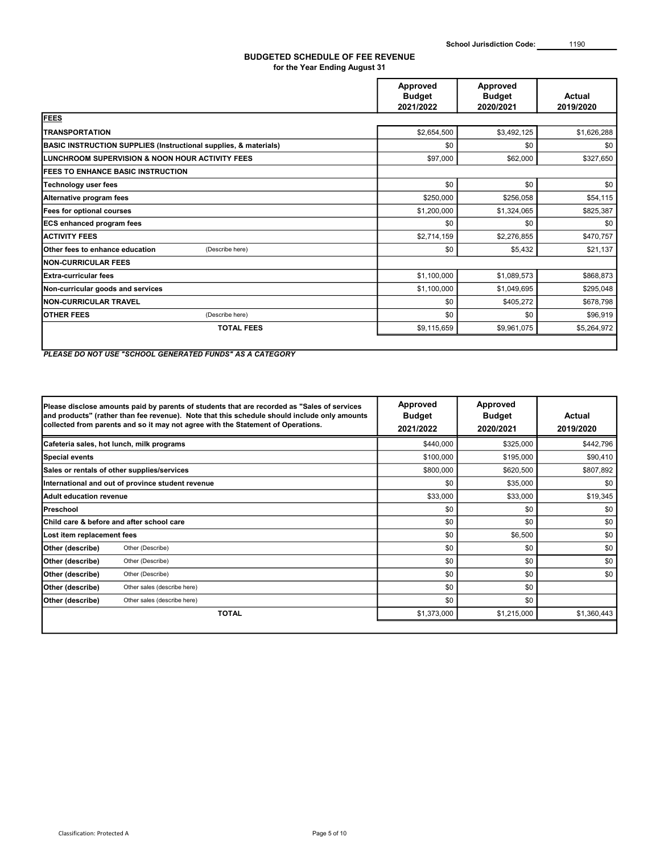### BUDGETED SCHEDULE OF FEE REVENUE for the Year Ending August 31

|                                                                             | Approved<br><b>Budget</b><br>2021/2022 | Approved<br><b>Budget</b><br>2020/2021 | Actual<br>2019/2020 |
|-----------------------------------------------------------------------------|----------------------------------------|----------------------------------------|---------------------|
| <b>FEES</b>                                                                 |                                        |                                        |                     |
| <b>TRANSPORTATION</b>                                                       | \$2,654,500                            | \$3,492,125                            | \$1,626,288         |
| <b>BASIC INSTRUCTION SUPPLIES (Instructional supplies, &amp; materials)</b> | \$0                                    | \$0                                    | \$0                 |
| LUNCHROOM SUPERVISION & NOON HOUR ACTIVITY FEES                             | \$97,000                               | \$62,000                               | \$327,650           |
| <b>FEES TO ENHANCE BASIC INSTRUCTION</b>                                    |                                        |                                        |                     |
| <b>Technology user fees</b>                                                 | \$0                                    | \$0                                    | \$0                 |
| Alternative program fees                                                    | \$250,000                              | \$256,058                              | \$54,115            |
| Fees for optional courses                                                   | \$1,200,000                            | \$1,324,065                            | \$825,387           |
| <b>ECS enhanced program fees</b>                                            | \$0                                    | \$0                                    | \$0                 |
| <b>ACTIVITY FEES</b>                                                        | \$2,714,159                            | \$2,276,855                            | \$470,757           |
| (Describe here)<br><b>IOther fees to enhance education</b>                  | \$0                                    | \$5,432                                | \$21,137            |
| <b>INON-CURRICULAR FEES</b>                                                 |                                        |                                        |                     |
| IExtra-curricular fees                                                      | \$1,100,000                            | \$1,089,573                            | \$868,873           |
| Non-curricular goods and services                                           | \$1,100,000                            | \$1,049,695                            | \$295,048           |
| <b>INON-CURRICULAR TRAVEL</b>                                               | \$0                                    | \$405,272                              | \$678,798           |
| <b>OTHER FEES</b><br>(Describe here)                                        | \$0                                    | \$0                                    | \$96,919            |
| <b>TOTAL FEES</b>                                                           | \$9,115,659                            | \$9,961,075                            | \$5,264,972         |
|                                                                             |                                        |                                        |                     |

PLEASE DO NOT USE "SCHOOL GENERATED FUNDS" AS A CATEGORY

|                            | Please disclose amounts paid by parents of students that are recorded as "Sales of services"<br>and products" (rather than fee revenue). Note that this schedule should include only amounts<br>collected from parents and so it may not agree with the Statement of Operations. | Approved<br><b>Budget</b><br>2021/2022 | Approved<br><b>Budget</b><br>2020/2021 | Actual<br>2019/2020 |  |
|----------------------------|----------------------------------------------------------------------------------------------------------------------------------------------------------------------------------------------------------------------------------------------------------------------------------|----------------------------------------|----------------------------------------|---------------------|--|
|                            | Cafeteria sales, hot lunch, milk programs                                                                                                                                                                                                                                        | \$440,000                              | \$325,000                              | \$442,796           |  |
| Special events             |                                                                                                                                                                                                                                                                                  | \$100,000                              | \$195,000                              | \$90,410            |  |
|                            | Sales or rentals of other supplies/services                                                                                                                                                                                                                                      | \$800,000                              | \$620,500                              | \$807,892           |  |
|                            | International and out of province student revenue                                                                                                                                                                                                                                | \$0                                    | \$35,000                               | \$0                 |  |
| Adult education revenue    |                                                                                                                                                                                                                                                                                  | \$33,000                               | \$33,000                               | \$19,345            |  |
| Preschool                  |                                                                                                                                                                                                                                                                                  | \$0                                    | \$0                                    | \$0                 |  |
|                            | <b>IChild care &amp; before and after school care</b>                                                                                                                                                                                                                            | \$0                                    | \$0                                    | \$0                 |  |
| Lost item replacement fees |                                                                                                                                                                                                                                                                                  | \$0                                    | \$6,500                                | \$0                 |  |
| Other (describe)           | Other (Describe)                                                                                                                                                                                                                                                                 | \$0                                    | \$0                                    | \$0                 |  |
| Other (describe)           | Other (Describe)                                                                                                                                                                                                                                                                 | \$0                                    | \$0                                    | \$0                 |  |
| Other (describe)           | Other (Describe)                                                                                                                                                                                                                                                                 | \$0                                    | \$0                                    | \$0                 |  |
| Other (describe)           | Other sales (describe here)                                                                                                                                                                                                                                                      | \$0                                    | \$0                                    |                     |  |
| Other (describe)           | Other sales (describe here)                                                                                                                                                                                                                                                      | \$0                                    | \$0                                    |                     |  |
|                            | <b>TOTAL</b>                                                                                                                                                                                                                                                                     | \$1,373,000                            | \$1,215,000                            | \$1,360,443         |  |
|                            |                                                                                                                                                                                                                                                                                  |                                        |                                        |                     |  |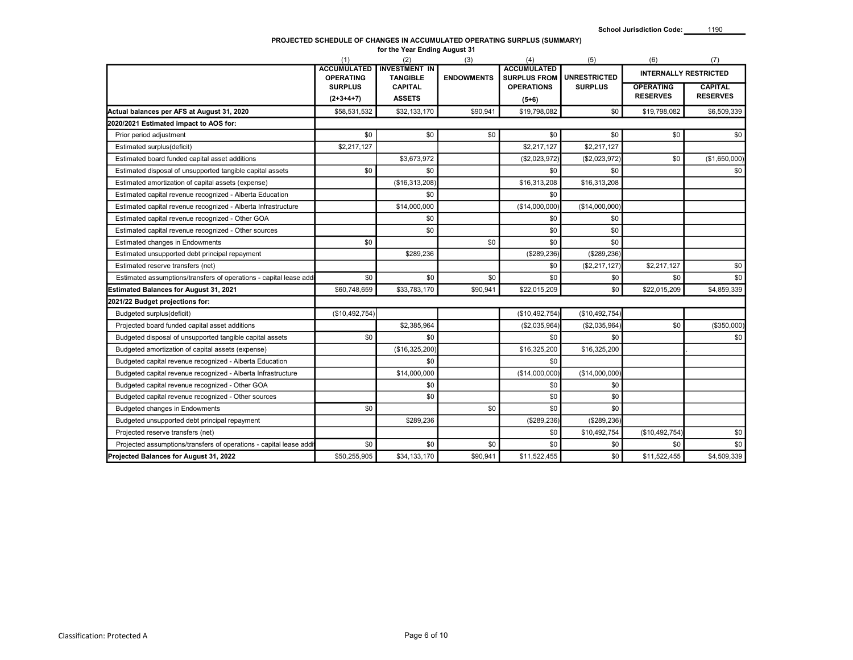| <b>INTERNALLY RESTRICTED</b><br><b>UNRESTRICTED</b><br><b>OPERATING</b><br><b>TANGIBLE</b><br><b>SURPLUS FROM</b><br><b>ENDOWMENTS</b><br><b>CAPITAL</b><br><b>SURPLUS</b><br><b>CAPITAL</b><br><b>OPERATIONS</b><br><b>OPERATING</b><br><b>SURPLUS</b><br><b>RESERVES</b><br><b>RESERVES</b><br>$(2+3+4+7)$<br><b>ASSETS</b><br>$(5+6)$<br>Actual balances per AFS at August 31, 2020<br>\$58,531,532<br>\$90,941<br>\$19,798,082<br>\$0<br>\$19,798,082<br>\$6,509,339<br>\$32,133,170<br>2020/2021 Estimated impact to AOS for:<br>\$0<br>\$0<br>\$0<br>\$0<br>\$0<br>\$0<br>\$0<br>Prior period adjustment<br>\$2,217,127<br>\$2,217,127<br>\$2,217,127<br>Estimated surplus(deficit)<br>Estimated board funded capital asset additions<br>\$3,673,972<br>(\$2,023,972)<br>(\$2,023,972)<br>\$0<br>(\$1,650,000<br>\$0<br>\$0<br>\$0<br>\$0<br>\$0<br>Estimated disposal of unsupported tangible capital assets<br>(\$16,313,208)<br>\$16,313,208<br>\$16,313,208<br>Estimated amortization of capital assets (expense)<br>Estimated capital revenue recognized - Alberta Education<br>\$0<br>\$0<br>\$14,000,000<br>(\$14,000,000)<br>(\$14,000,000)<br>Estimated capital revenue recognized - Alberta Infrastructure<br>\$0<br>Estimated capital revenue recognized - Other GOA<br>\$0<br>\$0<br>\$0<br>\$0<br>\$0<br>Estimated capital revenue recognized - Other sources<br>\$0<br>\$0<br>\$0<br>\$0<br>Estimated changes in Endowments<br>\$289,236<br>(\$289, 236)<br>(\$289, 236)<br>Estimated unsupported debt principal repayment<br>\$0<br>(\$2,217,127)<br>\$2,217,127<br>Estimated reserve transfers (net)<br>\$0<br>\$0<br>\$0<br>\$0<br>\$0<br>\$0<br>Estimated assumptions/transfers of operations - capital lease add<br>\$0<br>\$60,748,659<br>\$33,783,170<br>\$90,941<br>\$22,015,209<br>\$0<br>\$22,015,209<br>(\$10,492,754)<br>(\$10,492,754)<br>(\$10,492,754)<br>\$0<br>\$2,385,964<br>(\$2,035,964)<br>(\$2,035,964)<br>Budgeted disposal of unsupported tangible capital assets<br>\$0<br>\$0<br>\$0<br>\$0<br>(\$16,325,200)<br>\$16,325,200<br>\$16,325,200<br>\$0<br>\$0<br>\$14,000,000<br>(\$14,000,000)<br>(\$14,000,000)<br>Budgeted capital revenue recognized - Alberta Infrastructure<br>\$0<br>\$0<br>\$0<br>\$0<br>\$0<br>\$0<br>\$0<br>\$0<br>\$0<br>\$0<br>\$289,236<br>(\$289, 236)<br>(\$289, 236)<br>Budgeted unsupported debt principal repayment<br>\$0<br>(\$10,492,754)<br>\$10,492,754<br>\$0<br>\$0<br>\$0<br>\$0<br>\$0<br>\$0<br>\$50,255,905<br>\$34,133,170<br>\$90,941<br>\$11,522,455<br>\$0<br>\$11,522,455 |                                                                    | (1)<br><b>ACCUMULATED</b> | (2)<br><b>INVESTMENT IN</b> | (3) | (4)<br><b>ACCUMULATED</b> | (5) | (6) | (7)         |
|-------------------------------------------------------------------------------------------------------------------------------------------------------------------------------------------------------------------------------------------------------------------------------------------------------------------------------------------------------------------------------------------------------------------------------------------------------------------------------------------------------------------------------------------------------------------------------------------------------------------------------------------------------------------------------------------------------------------------------------------------------------------------------------------------------------------------------------------------------------------------------------------------------------------------------------------------------------------------------------------------------------------------------------------------------------------------------------------------------------------------------------------------------------------------------------------------------------------------------------------------------------------------------------------------------------------------------------------------------------------------------------------------------------------------------------------------------------------------------------------------------------------------------------------------------------------------------------------------------------------------------------------------------------------------------------------------------------------------------------------------------------------------------------------------------------------------------------------------------------------------------------------------------------------------------------------------------------------------------------------------------------------------------------------------------------------------------------------------------------------------------------------------------------------------------------------------------------------------------------------------------------------------------------------------------------------------------------------------------------------------------------------------------------------------------------------------------------------------------------------------------------------------------------------------------------------------|--------------------------------------------------------------------|---------------------------|-----------------------------|-----|---------------------------|-----|-----|-------------|
|                                                                                                                                                                                                                                                                                                                                                                                                                                                                                                                                                                                                                                                                                                                                                                                                                                                                                                                                                                                                                                                                                                                                                                                                                                                                                                                                                                                                                                                                                                                                                                                                                                                                                                                                                                                                                                                                                                                                                                                                                                                                                                                                                                                                                                                                                                                                                                                                                                                                                                                                                                         |                                                                    |                           |                             |     |                           |     |     |             |
|                                                                                                                                                                                                                                                                                                                                                                                                                                                                                                                                                                                                                                                                                                                                                                                                                                                                                                                                                                                                                                                                                                                                                                                                                                                                                                                                                                                                                                                                                                                                                                                                                                                                                                                                                                                                                                                                                                                                                                                                                                                                                                                                                                                                                                                                                                                                                                                                                                                                                                                                                                         |                                                                    |                           |                             |     |                           |     |     |             |
|                                                                                                                                                                                                                                                                                                                                                                                                                                                                                                                                                                                                                                                                                                                                                                                                                                                                                                                                                                                                                                                                                                                                                                                                                                                                                                                                                                                                                                                                                                                                                                                                                                                                                                                                                                                                                                                                                                                                                                                                                                                                                                                                                                                                                                                                                                                                                                                                                                                                                                                                                                         |                                                                    |                           |                             |     |                           |     |     |             |
|                                                                                                                                                                                                                                                                                                                                                                                                                                                                                                                                                                                                                                                                                                                                                                                                                                                                                                                                                                                                                                                                                                                                                                                                                                                                                                                                                                                                                                                                                                                                                                                                                                                                                                                                                                                                                                                                                                                                                                                                                                                                                                                                                                                                                                                                                                                                                                                                                                                                                                                                                                         |                                                                    |                           |                             |     |                           |     |     |             |
|                                                                                                                                                                                                                                                                                                                                                                                                                                                                                                                                                                                                                                                                                                                                                                                                                                                                                                                                                                                                                                                                                                                                                                                                                                                                                                                                                                                                                                                                                                                                                                                                                                                                                                                                                                                                                                                                                                                                                                                                                                                                                                                                                                                                                                                                                                                                                                                                                                                                                                                                                                         |                                                                    |                           |                             |     |                           |     |     |             |
|                                                                                                                                                                                                                                                                                                                                                                                                                                                                                                                                                                                                                                                                                                                                                                                                                                                                                                                                                                                                                                                                                                                                                                                                                                                                                                                                                                                                                                                                                                                                                                                                                                                                                                                                                                                                                                                                                                                                                                                                                                                                                                                                                                                                                                                                                                                                                                                                                                                                                                                                                                         |                                                                    |                           |                             |     |                           |     |     |             |
|                                                                                                                                                                                                                                                                                                                                                                                                                                                                                                                                                                                                                                                                                                                                                                                                                                                                                                                                                                                                                                                                                                                                                                                                                                                                                                                                                                                                                                                                                                                                                                                                                                                                                                                                                                                                                                                                                                                                                                                                                                                                                                                                                                                                                                                                                                                                                                                                                                                                                                                                                                         |                                                                    |                           |                             |     |                           |     |     |             |
|                                                                                                                                                                                                                                                                                                                                                                                                                                                                                                                                                                                                                                                                                                                                                                                                                                                                                                                                                                                                                                                                                                                                                                                                                                                                                                                                                                                                                                                                                                                                                                                                                                                                                                                                                                                                                                                                                                                                                                                                                                                                                                                                                                                                                                                                                                                                                                                                                                                                                                                                                                         |                                                                    |                           |                             |     |                           |     |     |             |
|                                                                                                                                                                                                                                                                                                                                                                                                                                                                                                                                                                                                                                                                                                                                                                                                                                                                                                                                                                                                                                                                                                                                                                                                                                                                                                                                                                                                                                                                                                                                                                                                                                                                                                                                                                                                                                                                                                                                                                                                                                                                                                                                                                                                                                                                                                                                                                                                                                                                                                                                                                         |                                                                    |                           |                             |     |                           |     |     |             |
|                                                                                                                                                                                                                                                                                                                                                                                                                                                                                                                                                                                                                                                                                                                                                                                                                                                                                                                                                                                                                                                                                                                                                                                                                                                                                                                                                                                                                                                                                                                                                                                                                                                                                                                                                                                                                                                                                                                                                                                                                                                                                                                                                                                                                                                                                                                                                                                                                                                                                                                                                                         |                                                                    |                           |                             |     |                           |     |     |             |
|                                                                                                                                                                                                                                                                                                                                                                                                                                                                                                                                                                                                                                                                                                                                                                                                                                                                                                                                                                                                                                                                                                                                                                                                                                                                                                                                                                                                                                                                                                                                                                                                                                                                                                                                                                                                                                                                                                                                                                                                                                                                                                                                                                                                                                                                                                                                                                                                                                                                                                                                                                         |                                                                    |                           |                             |     |                           |     |     |             |
|                                                                                                                                                                                                                                                                                                                                                                                                                                                                                                                                                                                                                                                                                                                                                                                                                                                                                                                                                                                                                                                                                                                                                                                                                                                                                                                                                                                                                                                                                                                                                                                                                                                                                                                                                                                                                                                                                                                                                                                                                                                                                                                                                                                                                                                                                                                                                                                                                                                                                                                                                                         |                                                                    |                           |                             |     |                           |     |     |             |
|                                                                                                                                                                                                                                                                                                                                                                                                                                                                                                                                                                                                                                                                                                                                                                                                                                                                                                                                                                                                                                                                                                                                                                                                                                                                                                                                                                                                                                                                                                                                                                                                                                                                                                                                                                                                                                                                                                                                                                                                                                                                                                                                                                                                                                                                                                                                                                                                                                                                                                                                                                         |                                                                    |                           |                             |     |                           |     |     |             |
|                                                                                                                                                                                                                                                                                                                                                                                                                                                                                                                                                                                                                                                                                                                                                                                                                                                                                                                                                                                                                                                                                                                                                                                                                                                                                                                                                                                                                                                                                                                                                                                                                                                                                                                                                                                                                                                                                                                                                                                                                                                                                                                                                                                                                                                                                                                                                                                                                                                                                                                                                                         |                                                                    |                           |                             |     |                           |     |     |             |
|                                                                                                                                                                                                                                                                                                                                                                                                                                                                                                                                                                                                                                                                                                                                                                                                                                                                                                                                                                                                                                                                                                                                                                                                                                                                                                                                                                                                                                                                                                                                                                                                                                                                                                                                                                                                                                                                                                                                                                                                                                                                                                                                                                                                                                                                                                                                                                                                                                                                                                                                                                         |                                                                    |                           |                             |     |                           |     |     |             |
|                                                                                                                                                                                                                                                                                                                                                                                                                                                                                                                                                                                                                                                                                                                                                                                                                                                                                                                                                                                                                                                                                                                                                                                                                                                                                                                                                                                                                                                                                                                                                                                                                                                                                                                                                                                                                                                                                                                                                                                                                                                                                                                                                                                                                                                                                                                                                                                                                                                                                                                                                                         |                                                                    |                           |                             |     |                           |     |     |             |
|                                                                                                                                                                                                                                                                                                                                                                                                                                                                                                                                                                                                                                                                                                                                                                                                                                                                                                                                                                                                                                                                                                                                                                                                                                                                                                                                                                                                                                                                                                                                                                                                                                                                                                                                                                                                                                                                                                                                                                                                                                                                                                                                                                                                                                                                                                                                                                                                                                                                                                                                                                         |                                                                    |                           |                             |     |                           |     |     |             |
|                                                                                                                                                                                                                                                                                                                                                                                                                                                                                                                                                                                                                                                                                                                                                                                                                                                                                                                                                                                                                                                                                                                                                                                                                                                                                                                                                                                                                                                                                                                                                                                                                                                                                                                                                                                                                                                                                                                                                                                                                                                                                                                                                                                                                                                                                                                                                                                                                                                                                                                                                                         |                                                                    |                           |                             |     |                           |     |     | \$0         |
|                                                                                                                                                                                                                                                                                                                                                                                                                                                                                                                                                                                                                                                                                                                                                                                                                                                                                                                                                                                                                                                                                                                                                                                                                                                                                                                                                                                                                                                                                                                                                                                                                                                                                                                                                                                                                                                                                                                                                                                                                                                                                                                                                                                                                                                                                                                                                                                                                                                                                                                                                                         | <b>Estimated Balances for August 31, 2021</b>                      |                           |                             |     |                           |     |     | \$4,859,339 |
|                                                                                                                                                                                                                                                                                                                                                                                                                                                                                                                                                                                                                                                                                                                                                                                                                                                                                                                                                                                                                                                                                                                                                                                                                                                                                                                                                                                                                                                                                                                                                                                                                                                                                                                                                                                                                                                                                                                                                                                                                                                                                                                                                                                                                                                                                                                                                                                                                                                                                                                                                                         | 2021/22 Budget projections for:                                    |                           |                             |     |                           |     |     |             |
|                                                                                                                                                                                                                                                                                                                                                                                                                                                                                                                                                                                                                                                                                                                                                                                                                                                                                                                                                                                                                                                                                                                                                                                                                                                                                                                                                                                                                                                                                                                                                                                                                                                                                                                                                                                                                                                                                                                                                                                                                                                                                                                                                                                                                                                                                                                                                                                                                                                                                                                                                                         | Budgeted surplus(deficit)                                          |                           |                             |     |                           |     |     |             |
|                                                                                                                                                                                                                                                                                                                                                                                                                                                                                                                                                                                                                                                                                                                                                                                                                                                                                                                                                                                                                                                                                                                                                                                                                                                                                                                                                                                                                                                                                                                                                                                                                                                                                                                                                                                                                                                                                                                                                                                                                                                                                                                                                                                                                                                                                                                                                                                                                                                                                                                                                                         | Projected board funded capital asset additions                     |                           |                             |     |                           |     |     | (\$350,000) |
|                                                                                                                                                                                                                                                                                                                                                                                                                                                                                                                                                                                                                                                                                                                                                                                                                                                                                                                                                                                                                                                                                                                                                                                                                                                                                                                                                                                                                                                                                                                                                                                                                                                                                                                                                                                                                                                                                                                                                                                                                                                                                                                                                                                                                                                                                                                                                                                                                                                                                                                                                                         |                                                                    |                           |                             |     |                           |     |     | \$0         |
|                                                                                                                                                                                                                                                                                                                                                                                                                                                                                                                                                                                                                                                                                                                                                                                                                                                                                                                                                                                                                                                                                                                                                                                                                                                                                                                                                                                                                                                                                                                                                                                                                                                                                                                                                                                                                                                                                                                                                                                                                                                                                                                                                                                                                                                                                                                                                                                                                                                                                                                                                                         | Budgeted amortization of capital assets (expense)                  |                           |                             |     |                           |     |     |             |
|                                                                                                                                                                                                                                                                                                                                                                                                                                                                                                                                                                                                                                                                                                                                                                                                                                                                                                                                                                                                                                                                                                                                                                                                                                                                                                                                                                                                                                                                                                                                                                                                                                                                                                                                                                                                                                                                                                                                                                                                                                                                                                                                                                                                                                                                                                                                                                                                                                                                                                                                                                         | Budgeted capital revenue recognized - Alberta Education            |                           |                             |     |                           |     |     |             |
|                                                                                                                                                                                                                                                                                                                                                                                                                                                                                                                                                                                                                                                                                                                                                                                                                                                                                                                                                                                                                                                                                                                                                                                                                                                                                                                                                                                                                                                                                                                                                                                                                                                                                                                                                                                                                                                                                                                                                                                                                                                                                                                                                                                                                                                                                                                                                                                                                                                                                                                                                                         |                                                                    |                           |                             |     |                           |     |     |             |
|                                                                                                                                                                                                                                                                                                                                                                                                                                                                                                                                                                                                                                                                                                                                                                                                                                                                                                                                                                                                                                                                                                                                                                                                                                                                                                                                                                                                                                                                                                                                                                                                                                                                                                                                                                                                                                                                                                                                                                                                                                                                                                                                                                                                                                                                                                                                                                                                                                                                                                                                                                         | Budgeted capital revenue recognized - Other GOA                    |                           |                             |     |                           |     |     |             |
|                                                                                                                                                                                                                                                                                                                                                                                                                                                                                                                                                                                                                                                                                                                                                                                                                                                                                                                                                                                                                                                                                                                                                                                                                                                                                                                                                                                                                                                                                                                                                                                                                                                                                                                                                                                                                                                                                                                                                                                                                                                                                                                                                                                                                                                                                                                                                                                                                                                                                                                                                                         | Budgeted capital revenue recognized - Other sources                |                           |                             |     |                           |     |     |             |
|                                                                                                                                                                                                                                                                                                                                                                                                                                                                                                                                                                                                                                                                                                                                                                                                                                                                                                                                                                                                                                                                                                                                                                                                                                                                                                                                                                                                                                                                                                                                                                                                                                                                                                                                                                                                                                                                                                                                                                                                                                                                                                                                                                                                                                                                                                                                                                                                                                                                                                                                                                         | Budgeted changes in Endowments                                     |                           |                             |     |                           |     |     |             |
|                                                                                                                                                                                                                                                                                                                                                                                                                                                                                                                                                                                                                                                                                                                                                                                                                                                                                                                                                                                                                                                                                                                                                                                                                                                                                                                                                                                                                                                                                                                                                                                                                                                                                                                                                                                                                                                                                                                                                                                                                                                                                                                                                                                                                                                                                                                                                                                                                                                                                                                                                                         |                                                                    |                           |                             |     |                           |     |     |             |
|                                                                                                                                                                                                                                                                                                                                                                                                                                                                                                                                                                                                                                                                                                                                                                                                                                                                                                                                                                                                                                                                                                                                                                                                                                                                                                                                                                                                                                                                                                                                                                                                                                                                                                                                                                                                                                                                                                                                                                                                                                                                                                                                                                                                                                                                                                                                                                                                                                                                                                                                                                         | Projected reserve transfers (net)                                  |                           |                             |     |                           |     |     | \$0         |
|                                                                                                                                                                                                                                                                                                                                                                                                                                                                                                                                                                                                                                                                                                                                                                                                                                                                                                                                                                                                                                                                                                                                                                                                                                                                                                                                                                                                                                                                                                                                                                                                                                                                                                                                                                                                                                                                                                                                                                                                                                                                                                                                                                                                                                                                                                                                                                                                                                                                                                                                                                         | Projected assumptions/transfers of operations - capital lease addi |                           |                             |     |                           |     |     | \$0         |
|                                                                                                                                                                                                                                                                                                                                                                                                                                                                                                                                                                                                                                                                                                                                                                                                                                                                                                                                                                                                                                                                                                                                                                                                                                                                                                                                                                                                                                                                                                                                                                                                                                                                                                                                                                                                                                                                                                                                                                                                                                                                                                                                                                                                                                                                                                                                                                                                                                                                                                                                                                         | Projected Balances for August 31, 2022                             |                           |                             |     |                           |     |     | \$4,509,339 |
| Classification: Protected A<br>Page 6 of 10                                                                                                                                                                                                                                                                                                                                                                                                                                                                                                                                                                                                                                                                                                                                                                                                                                                                                                                                                                                                                                                                                                                                                                                                                                                                                                                                                                                                                                                                                                                                                                                                                                                                                                                                                                                                                                                                                                                                                                                                                                                                                                                                                                                                                                                                                                                                                                                                                                                                                                                             |                                                                    |                           |                             |     |                           |     |     |             |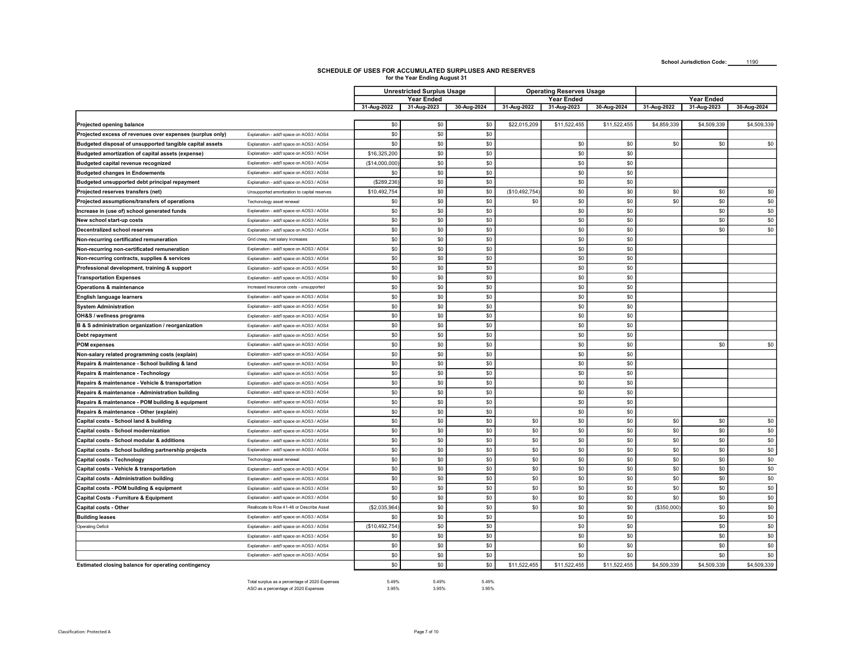|                                                                                                                       |                                                                                        |                      | for the Year Ending August 31     |                |               |                                 |              |             |                           |                 |
|-----------------------------------------------------------------------------------------------------------------------|----------------------------------------------------------------------------------------|----------------------|-----------------------------------|----------------|---------------|---------------------------------|--------------|-------------|---------------------------|-----------------|
|                                                                                                                       |                                                                                        |                      | <b>Unrestricted Surplus Usage</b> |                |               | <b>Operating Reserves Usage</b> |              |             |                           |                 |
|                                                                                                                       |                                                                                        | 31-Aug-2022          | Year Ended<br>31-Aug-2023         | 30-Aug-2024    | 31-Aug-2022   | Year Ended<br>31-Aug-2023       | 30-Aug-2024  | 31-Aug-2022 | Year Ended<br>31-Aug-2023 | 30-Aug-2024     |
|                                                                                                                       |                                                                                        |                      |                                   |                |               |                                 |              |             |                           |                 |
| Projected opening balance                                                                                             |                                                                                        | \$0                  | \$0                               | \$0            | \$22,015,209  | \$11,522,455                    | \$11,522,455 | \$4,859,339 | \$4,509,339               | \$4,509,339     |
| Projected excess of revenues over expenses (surplus only)<br>Budgeted disposal of unsupported tangible capital assets | Explanation - add'l space on AOS3 / AOS4<br>Explanation - add'l space on AOS3 / AOS4   | \$0<br>\$0           | \$0<br>\$0                        | \$0<br>\$0     |               | \$0                             | \$0          | \$0         | \$0                       | \$0             |
| Budgeted amortization of capital assets (expense)                                                                     | Explanation - add'l space on AOS3 / AOS4                                               | \$16,325,200         | \$0                               | \$0            |               | \$0                             | \$0          |             |                           |                 |
| Budgeted capital revenue recognized                                                                                   | Explanation - add'l space on AOS3 / AOS4                                               | (\$14,000,000        | \$0                               | \$0            |               | \$0                             | \$0          |             |                           |                 |
| <b>Budgeted changes in Endowments</b>                                                                                 | Explanation - add'l space on AOS3 / AOS4                                               | \$0                  | \$0                               | \$0            |               | \$0                             | \$0          |             |                           |                 |
| Budgeted unsupported debt principal repayment                                                                         | Explanation - add'l space on AOS3 / AOS4                                               | (\$289,236           | \$0                               | \$0            |               | \$0                             | \$0          |             |                           |                 |
| Projected reserves transfers (net)                                                                                    | Unsupported amortization to capital reserves                                           | \$10,492,754         | \$0                               | \$0            | (\$10,492,754 | \$0                             | \$0          | \$0         | \$0                       | \$0             |
| Projected assumptions/transfers of operations                                                                         | Techonology asset renewal                                                              | \$0                  | \$0                               | \$0            | \$0           | \$0                             | \$0          | \$0         | \$0                       | \$0             |
| Increase in (use of) school generated funds                                                                           | Explanation - add'l space on AOS3 / AOS4                                               | \$0                  | \$0                               | \$0            |               | \$0                             | \$0          |             | \$0                       | \$0             |
| New school start-up costs                                                                                             | Explanation - add'l space on AOS3 / AOS4                                               | \$0                  | \$0                               | \$0            |               | \$0                             | \$0          |             | \$0                       | \$0             |
| <b>Decentralized school reserves</b>                                                                                  | Explanation - add'l space on AOS3 / AOS4                                               | \$0                  | \$0                               | \$0            |               | \$0                             | \$0          |             | \$0                       | \$0             |
| Non-recurring certificated remuneration                                                                               | Grid creep, net salary increases                                                       | \$0                  | \$0                               | \$0            |               | \$0                             | \$0          |             |                           |                 |
| Non-recurring non-certificated remuneration<br>Non-recurring contracts, supplies & services                           | Explanation - add'l space on AOS3 / AOS4<br>Explanation - add'l space on AOS3 / AOS4   | \$0<br>\$0           | \$0<br>\$0                        | \$0<br>\$0     |               | \$0<br>\$0                      | \$0<br>\$0   |             |                           |                 |
| Professional development, training & support                                                                          | Explanation - add'l space on AOS3 / AOS4                                               | \$0                  | \$0                               | \$0            |               | \$0                             | \$0          |             |                           |                 |
| <b>Transportation Expenses</b>                                                                                        | Explanation - add'l space on AOS3 / AOS4                                               | \$0                  | \$0                               | \$0            |               | \$0                             | \$0          |             |                           |                 |
| <b>Operations &amp; maintenance</b>                                                                                   | Increased insurance costs - unsupported                                                | \$0                  | \$0                               | \$0            |               | \$0                             | \$0          |             |                           |                 |
| English language learners                                                                                             | Explanation - add'l space on AOS3 / AOS4                                               | \$0                  | \$0                               | \$0            |               | \$0                             | \$0          |             |                           |                 |
| <b>System Administration</b>                                                                                          | Explanation - add'l space on AOS3 / AOS4                                               | \$0                  | \$0                               | \$0            |               | \$0                             | \$0          |             |                           |                 |
| OH&S / wellness programs                                                                                              | Explanation - add'l space on AOS3 / AOS4                                               | \$0                  | \$0                               | \$0            |               | \$0                             | \$0          |             |                           |                 |
| B & S administration organization / reorganization                                                                    | Explanation - add'l space on AOS3 / AOS4                                               | \$0                  | \$0                               | \$0            |               | \$0                             | \$0          |             |                           |                 |
| Debt repayment                                                                                                        | Explanation - add'l space on AOS3 / AOS4                                               | \$0                  | \$0                               | \$0            |               | \$0                             | \$0          |             |                           |                 |
| <b>POM expenses</b>                                                                                                   | Explanation - add'l space on AOS3 / AOS4                                               | \$0                  | \$0                               | \$0            |               | \$0                             | \$0          |             | \$0                       | \$0             |
| Non-salary related programming costs (explain)                                                                        | Explanation - add'l space on AOS3 / AOS4                                               | \$0                  | \$0                               | \$0            |               | \$0                             | \$0          |             |                           |                 |
| Repairs & maintenance - School building & land                                                                        | Explanation - add'l space on AOS3 / AOS4                                               | \$0                  | \$0                               | \$0            |               | \$0                             | \$0          |             |                           |                 |
| Repairs & maintenance - Technology                                                                                    | Explanation - add'l space on AOS3 / AOS4                                               | \$0                  | \$0                               | \$0            |               | \$0                             | \$0          |             |                           |                 |
| Repairs & maintenance - Vehicle & transportation<br>Repairs & maintenance - Administration building                   | Explanation - add'l space on AOS3 / AOS4<br>Explanation - add'l space on AOS3 / AOS4   | \$0<br>\$0           | \$0<br>\$0                        | \$0<br>\$0     |               | \$0<br>\$0                      | \$0<br>\$0   |             |                           |                 |
| Repairs & maintenance - POM building & equipment                                                                      | Explanation - add'l space on AOS3 / AOS4                                               | \$0                  | \$0                               | \$0            |               | \$0                             | \$0          |             |                           |                 |
| Repairs & maintenance - Other (explain)                                                                               | Explanation - add'l space on AOS3 / AOS4                                               | \$0                  | \$0                               | \$0            |               | \$0                             | \$0          |             |                           |                 |
| Capital costs - School land & building                                                                                | Explanation - add'l space on AOS3 / AOS4                                               | \$0                  | \$0                               | \$0            | \$0           | \$0                             | \$0          | \$0         | \$0                       | \$0             |
| Capital costs - School modernization                                                                                  | Explanation - add'l space on AOS3 / AOS4                                               | \$0                  | \$0                               | \$0            | \$0           | \$0                             | \$0          | \$0         | \$0                       | \$0             |
| Capital costs - School modular & additions                                                                            | Explanation - add'l space on AOS3 / AOS4                                               | \$0                  | \$0                               | \$0            | \$0           | \$0                             | \$0          | \$0         | \$0                       | \$0             |
| Capital costs - School building partnership projects                                                                  | Explanation - add'l space on AOS3 / AOS4                                               | \$0                  | \$0                               | \$0            | \$0           | \$0                             | \$0          | \$0         | \$0                       | $\$0$           |
| Capital costs - Technology                                                                                            | Techonology asset renewal                                                              | \$0                  | \$0                               | \$0            | \$0           | \$0                             | \$0          | \$0         | \$0                       | \$0             |
| Capital costs - Vehicle & transportation                                                                              | Explanation - add'l space on AOS3 / AOS4                                               | \$0                  | \$0                               | \$0            | \$0           | \$0                             | \$0          | \$0         | \$0                       | \$0             |
| Capital costs - Administration building                                                                               | Explanation - add'l space on AOS3 / AOS4                                               | \$0                  | \$0                               | \$0            | \$0           | \$0                             | \$0          | \$0         | \$0                       | \$0             |
| Capital costs - POM building & equipment                                                                              | Explanation - add'l space on AOS3 / AOS4                                               | \$0                  | \$0                               | \$0            | \$0           | \$0                             | \$0          | \$0         | \$0                       | $\overline{30}$ |
| Capital Costs - Furniture & Equipment                                                                                 | Explanation - add'l space on AOS3 / AOS4                                               | \$0                  | \$0                               | \$0            | \$0           | \$0                             | \$0          | \$0         | \$0                       | \$0<br>\$0      |
| Capital costs - Other<br><b>Building leases</b>                                                                       | Reallocate to Row 41-48 or Describe Asset<br>Explanation - add'l space on AOS3 / AOS4  | (\$2,035,964)<br>\$0 | \$0<br>\$0                        | \$0<br>\$0     | \$0           | \$0<br>\$0                      | \$0<br>\$0   | (\$350,000) | \$0<br>\$0                | \$0             |
| Operating Deficit                                                                                                     | Explanation - add'l space on AOS3 / AOS4                                               | (\$10,492,754)       | \$0                               | \$0            |               | \$0                             | \$0          |             | \$0                       | \$0             |
|                                                                                                                       | Explanation - add'l space on AOS3 / AOS4                                               | \$0                  | \$0                               | \$0            |               | \$0                             | \$0          |             | \$0                       | \$0             |
|                                                                                                                       | Explanation - add'l space on AOS3 / AOS4                                               |                      | SO.                               | - 30           |               | \$0                             | <b>SO</b>    |             |                           | \$0             |
|                                                                                                                       | Explanation - add'l space on AOS3 / AOS4                                               | \$0                  | \$0                               | \$0            |               | \$0                             | \$0          |             | \$0                       | \$0             |
| Estimated closing balance for operating contingency                                                                   |                                                                                        | \$0                  | \$0                               | \$0            | \$11,522,455  | \$11,522,455                    | \$11,522,455 | \$4,509,339 | \$4,509,339               | \$4,509,339     |
|                                                                                                                       |                                                                                        |                      |                                   |                |               |                                 |              |             |                           |                 |
|                                                                                                                       | Total surplus as a percentage of 2020 Expenses<br>ASO as a percentage of 2020 Expenses | 5.49%<br>3.95%       | 5.49%<br>3.95%                    | 5.49%<br>3.95% |               |                                 |              |             |                           |                 |
|                                                                                                                       |                                                                                        |                      |                                   |                |               |                                 |              |             |                           |                 |
| ation: Protected A                                                                                                    |                                                                                        |                      |                                   |                |               |                                 |              |             |                           |                 |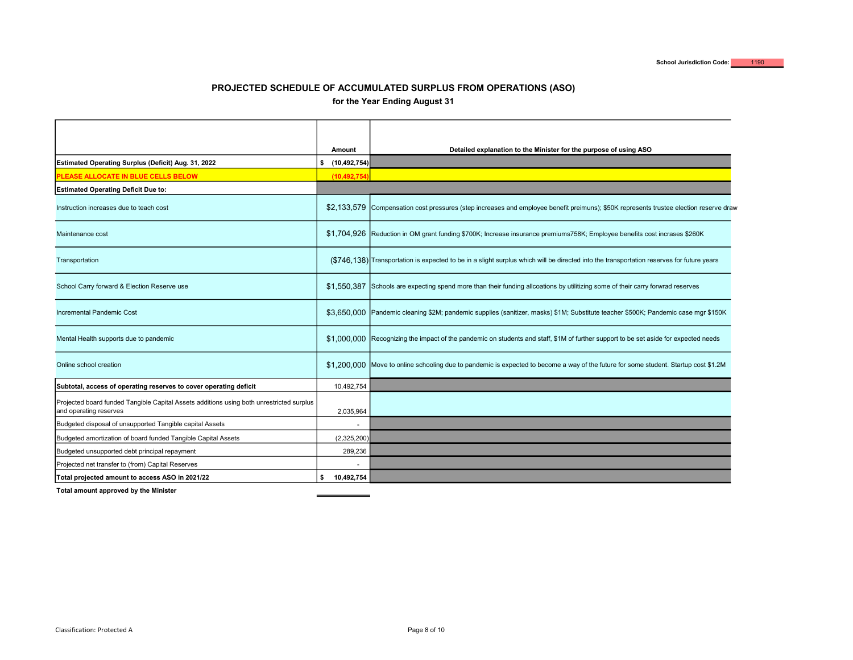| Amount<br>\$(10, 492, 754)<br>Estimated Operating Surplus (Deficit) Aug. 31, 2022<br>PLEASE ALLOCATE IN BLUE CELLS BELOW<br><b>Estimated Operating Deficit Due to:</b><br>Instruction increases due to teach cost<br>Maintenance cost<br>Transportation | Detailed explanation to the Minister for the purpose of using ASO<br>(10,492,754<br>\$2,133,579 Compensation cost pressures (step increases and employee benefit preimuns); \$50K represents trustee election reserve draw<br>\$1,704,926 Reduction in OM grant funding \$700K; Increase insurance premiums758K; Employee benefits cost incrases \$260K |
|---------------------------------------------------------------------------------------------------------------------------------------------------------------------------------------------------------------------------------------------------------|---------------------------------------------------------------------------------------------------------------------------------------------------------------------------------------------------------------------------------------------------------------------------------------------------------------------------------------------------------|
|                                                                                                                                                                                                                                                         |                                                                                                                                                                                                                                                                                                                                                         |
|                                                                                                                                                                                                                                                         |                                                                                                                                                                                                                                                                                                                                                         |
|                                                                                                                                                                                                                                                         |                                                                                                                                                                                                                                                                                                                                                         |
|                                                                                                                                                                                                                                                         |                                                                                                                                                                                                                                                                                                                                                         |
|                                                                                                                                                                                                                                                         |                                                                                                                                                                                                                                                                                                                                                         |
|                                                                                                                                                                                                                                                         | (\$746,138) Transportation is expected to be in a slight surplus which will be directed into the transportation reserves for future years                                                                                                                                                                                                               |
| School Carry forward & Election Reserve use                                                                                                                                                                                                             | \$1,550,387 Schools are expecting spend more than their funding allcoations by utilitizing some of their carry forwrad reserves                                                                                                                                                                                                                         |
| Incremental Pandemic Cost                                                                                                                                                                                                                               | \$3,650,000 Pandemic cleaning \$2M; pandemic supplies (sanitizer, masks) \$1M; Substitute teacher \$500K; Pandemic case mgr \$150K                                                                                                                                                                                                                      |
| Mental Health supports due to pandemic                                                                                                                                                                                                                  | \$1,000,000 Recognizing the impact of the pandemic on students and staff, \$1M of further support to be set aside for expected needs                                                                                                                                                                                                                    |
| Online school creation                                                                                                                                                                                                                                  | \$1,200,000 Move to online schooling due to pandemic is expected to become a way of the future for some student. Startup cost \$1.2M                                                                                                                                                                                                                    |
| Subtotal, access of operating reserves to cover operating deficit                                                                                                                                                                                       | 10,492,754                                                                                                                                                                                                                                                                                                                                              |
| Projected board funded Tangible Capital Assets additions using both unrestricted surplus<br>and operating reserves                                                                                                                                      | 2,035,964                                                                                                                                                                                                                                                                                                                                               |
| Budgeted disposal of unsupported Tangible capital Assets                                                                                                                                                                                                | $\sim$                                                                                                                                                                                                                                                                                                                                                  |
| Budgeted amortization of board funded Tangible Capital Assets                                                                                                                                                                                           | (2,325,200)                                                                                                                                                                                                                                                                                                                                             |
| Budgeted unsupported debt principal repayment                                                                                                                                                                                                           | 289,236                                                                                                                                                                                                                                                                                                                                                 |
| Projected net transfer to (from) Capital Reserves                                                                                                                                                                                                       | $\blacksquare$                                                                                                                                                                                                                                                                                                                                          |
| Total projected amount to access ASO in 2021/22<br>\$<br>Total amount approved by the Minister                                                                                                                                                          | 10,492,754                                                                                                                                                                                                                                                                                                                                              |
| Classification: Protected A                                                                                                                                                                                                                             | Page 8 of 10                                                                                                                                                                                                                                                                                                                                            |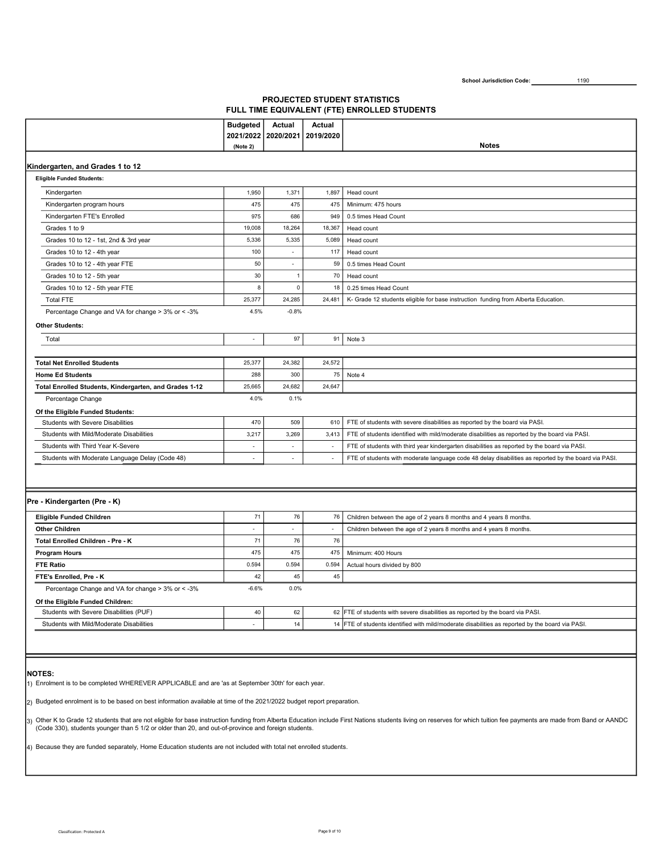# PROJECTED STUDENT STATISTICS FULL TIME EQUIVALENT (FTE) ENROLLED STUDENTS

|                                                        | <b>Budgeted</b> | Actual         | <b>Actual</b>            |                                                                                                      |
|--------------------------------------------------------|-----------------|----------------|--------------------------|------------------------------------------------------------------------------------------------------|
|                                                        | 2021/2022       | 2020/2021      | 2019/2020                |                                                                                                      |
|                                                        | (Note 2)        |                |                          | <b>Notes</b>                                                                                         |
| Kindergarten, and Grades 1 to 12                       |                 |                |                          |                                                                                                      |
| <b>Eligible Funded Students:</b>                       |                 |                |                          |                                                                                                      |
| Kindergarten                                           | 1,950           | 1,371          | 1,897                    | Head count                                                                                           |
| Kindergarten program hours                             | 475             | 475            | 475                      | Minimum: 475 hours                                                                                   |
| Kindergarten FTE's Enrolled                            | 975             | 686            | 949                      | 0.5 times Head Count                                                                                 |
| Grades 1 to 9                                          | 19,008          | 18,264         | 18,367                   | Head count                                                                                           |
| Grades 10 to 12 - 1st, 2nd & 3rd year                  | 5,336           | 5,335          | 5,089                    | Head count                                                                                           |
| Grades 10 to 12 - 4th year                             | 100             | $\blacksquare$ | 117                      | Head count                                                                                           |
| Grades 10 to 12 - 4th year FTE                         | 50              | $\mathbf{r}$   | 59                       | 0.5 times Head Count                                                                                 |
| Grades 10 to 12 - 5th year                             | 30              | $\overline{1}$ | 70                       | Head count                                                                                           |
| Grades 10 to 12 - 5th year FTE                         | 8               | $\pmb{0}$      | 18                       | 0.25 times Head Count                                                                                |
| <b>Total FTE</b>                                       | 25,377          | 24,285         | 24,481                   | K- Grade 12 students eligible for base instruction funding from Alberta Education.                   |
| Percentage Change and VA for change > 3% or < - 3%     | 4.5%            | $-0.8%$        |                          |                                                                                                      |
| <b>Other Students:</b>                                 |                 |                |                          |                                                                                                      |
| Total                                                  | $\sim$          | 97             | 91                       | Note 3                                                                                               |
|                                                        |                 |                |                          |                                                                                                      |
| <b>Total Net Enrolled Students</b>                     | 25,377          | 24,382         | 24,572                   |                                                                                                      |
| <b>Home Ed Students</b>                                | 288             | 300            | 75                       | Note 4                                                                                               |
| Total Enrolled Students, Kindergarten, and Grades 1-12 | 25,665          | 24,682         | 24,647                   |                                                                                                      |
| Percentage Change                                      | 4.0%            | 0.1%           |                          |                                                                                                      |
| Of the Eligible Funded Students:                       |                 |                |                          |                                                                                                      |
| <b>Students with Severe Disabilities</b>               | 470             | 509            | 610                      | FTE of students with severe disabilities as reported by the board via PASI.                          |
| Students with Mild/Moderate Disabilities               | 3,217           | 3,269          | 3,413                    | FTE of students identified with mild/moderate disabilities as reported by the board via PASI.        |
| Students with Third Year K-Severe                      | $\sim$          | $\sim$         | $\blacksquare$           | FTE of students with third year kindergarten disabilities as reported by the board via PASI.         |
| Students with Moderate Language Delay (Code 48)        | $\sim$          | $\sim$         | $\overline{\phantom{a}}$ | FTE of students with moderate language code 48 delay disabilities as reported by the board via PASI. |
|                                                        |                 |                |                          |                                                                                                      |
|                                                        |                 |                |                          |                                                                                                      |
| Pre - Kindergarten (Pre - K)                           |                 |                |                          |                                                                                                      |
| <b>Eligible Funded Children</b>                        | 71              | 76             | 76                       | Children between the age of 2 years 8 months and 4 years 8 months.                                   |
| <b>Other Children</b>                                  | ÷.              | $\overline{a}$ | $\overline{\phantom{a}}$ | Children between the age of 2 years 8 months and 4 years 8 months.                                   |
| Total Enrolled Children - Pre - K                      | 71              | 76             | 76                       |                                                                                                      |
| <b>Program Hours</b>                                   | 475             | 475            | 475                      | Minimum: 400 Hours                                                                                   |
| <b>FTE Ratio</b>                                       | 0.594           | 0.594          | 0.594                    | Actual hours divided by 800                                                                          |
| FTE's Enrolled, Pre - K                                | 42              | 45             | 45                       |                                                                                                      |
| Percentage Change and VA for change > 3% or < - 3%     | $-6.6%$         | 0.0%           |                          |                                                                                                      |
| Of the Eligible Funded Children:                       |                 |                |                          |                                                                                                      |
| Students with Severe Disabilities (PUF)                | 40              | 62             |                          | 62 FTE of students with severe disabilities as reported by the board via PASI.                       |
| Students with Mild/Moderate Disabilities               | $\sim$          | 14             |                          | 14 FTE of students identified with mild/moderate disabilities as reported by the board via PASI.     |
|                                                        |                 |                |                          |                                                                                                      |

### NOTES:

1) Enrolment is to be completed WHEREVER APPLICABLE and are 'as at September 30th' for each year.

2) Budgeted enrolment is to be based on best information available at time of the 2021/2022 budget report preparation.

3) Other K to Grade 12 students that are not eligible for base instruction funding from Alberta Education include First Nations students living on reserves for which tuition fee payments are made from Band or AANDC<br>(Code 3

4) Because they are funded separately, Home Education students are not included with total net enrolled students.